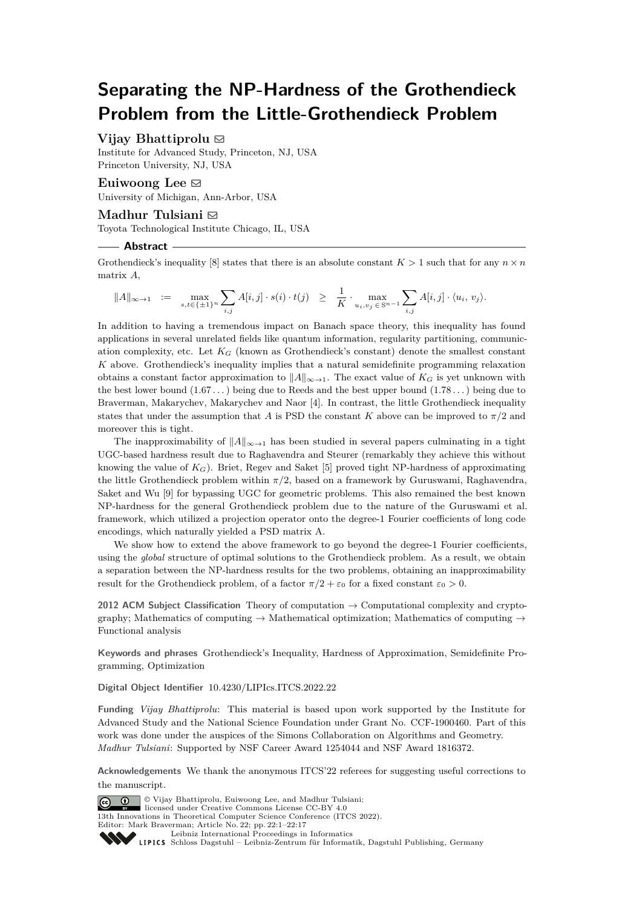# **Separating the NP-Hardness of the Grothendieck Problem from the Little-Grothendieck Problem**

# **Vijay Bhattiprolu**  $\boxtimes$

Institute for Advanced Study, Princeton, NJ, USA Princeton University, NJ, USA

# Euiwoong Lee  $\boxtimes$

University of Michigan, Ann-Arbor, USA

# **Madhur Tulsiani** ⊠

Toyota Technological Institute Chicago, IL, USA

#### **Abstract**

Grothendieck's inequality [\[8\]](#page-15-0) states that there is an absolute constant  $K > 1$  such that for any  $n \times n$ matrix *A*,

$$
||A||_{\infty \to 1} := \max_{s,t \in \{\pm 1\}^n} \sum_{i,j} A[i,j] \cdot s(i) \cdot t(j) \geq \frac{1}{K} \cdot \max_{u_i, v_j \in \mathbb{S}^{n-1}} \sum_{i,j} A[i,j] \cdot \langle u_i, v_j \rangle.
$$

In addition to having a tremendous impact on Banach space theory, this inequality has found applications in several unrelated fields like quantum information, regularity partitioning, communication complexity, etc. Let  $K_G$  (known as Grothendieck's constant) denote the smallest constant *K* above. Grothendieck's inequality implies that a natural semidefinite programming relaxation obtains a constant factor approximation to  $||A||_{\infty \to 1}$ . The exact value of  $K_G$  is yet unknown with the best lower bound (1*.*67 *. . .*) being due to Reeds and the best upper bound (1*.*78 *. . .*) being due to Braverman, Makarychev, Makarychev and Naor [\[4\]](#page-15-1). In contrast, the little Grothendieck inequality states that under the assumption that *A* is PSD the constant *K* above can be improved to  $\pi/2$  and moreover this is tight.

The inapproximability of  $||A||_{\infty \to 1}$  has been studied in several papers culminating in a tight UGC-based hardness result due to Raghavendra and Steurer (remarkably they achieve this without knowing the value of  $K_G$ ). Briet, Regev and Saket [\[5\]](#page-15-2) proved tight NP-hardness of approximating the little Grothendieck problem within *π/*2, based on a framework by Guruswami, Raghavendra, Saket and Wu [\[9\]](#page-16-0) for bypassing UGC for geometric problems. This also remained the best known NP-hardness for the general Grothendieck problem due to the nature of the Guruswami et al. framework, which utilized a projection operator onto the degree-1 Fourier coefficients of long code encodings, which naturally yielded a PSD matrix A.

We show how to extend the above framework to go beyond the degree-1 Fourier coefficients, using the *global* structure of optimal solutions to the Grothendieck problem. As a result, we obtain a separation between the NP-hardness results for the two problems, obtaining an inapproximability result for the Grothendieck problem, of a factor  $\pi/2 + \varepsilon_0$  for a fixed constant  $\varepsilon_0 > 0$ .

**2012 ACM Subject Classification** Theory of computation → Computational complexity and cryptography; Mathematics of computing  $\rightarrow$  Mathematical optimization; Mathematics of computing  $\rightarrow$ Functional analysis

**Keywords and phrases** Grothendieck's Inequality, Hardness of Approximation, Semidefinite Programming, Optimization

**Digital Object Identifier** [10.4230/LIPIcs.ITCS.2022.22](https://doi.org/10.4230/LIPIcs.ITCS.2022.22)

**Funding** *Vijay Bhattiprolu*: This material is based upon work supported by the Institute for Advanced Study and the National Science Foundation under Grant No. CCF-1900460. Part of this work was done under the auspices of the Simons Collaboration on Algorithms and Geometry. *Madhur Tulsiani*: Supported by NSF Career Award 1254044 and NSF Award 1816372.

**Acknowledgements** We thank the anonymous ITCS'22 referees for suggesting useful corrections to the manuscript.

© Vijay Bhattiprolu, Euiwoong Lee, and Madhur Tulsiani;  $\boxed{6}$  0 licensed under Creative Commons License CC-BY 4.0 13th Innovations in Theoretical Computer Science Conference (ITCS 2022). Editor: Mark Braverman; Article No. 22; pp. 22:1–22:17 [Leibniz International Proceedings in Informatics](https://www.dagstuhl.de/lipics/) [Schloss Dagstuhl – Leibniz-Zentrum für Informatik, Dagstuhl Publishing, Germany](https://www.dagstuhl.de)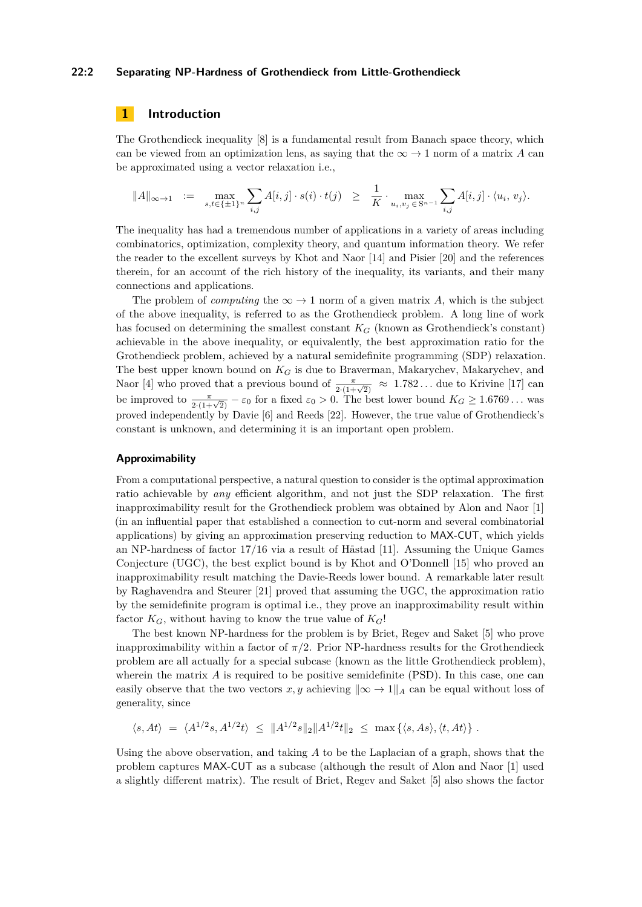#### **22:2 Separating NP-Hardness of Grothendieck from Little-Grothendieck**

# **1 Introduction**

The Grothendieck inequality [\[8\]](#page-15-0) is a fundamental result from Banach space theory, which can be viewed from an optimization lens, as saying that the  $\infty \to 1$  norm of a matrix A can be approximated using a vector relaxation i.e.,

$$
||A||_{\infty \to 1} := \max_{s,t \in \{\pm 1\}^n} \sum_{i,j} A[i,j] \cdot s(i) \cdot t(j) \ge \frac{1}{K} \cdot \max_{u_i, v_j \in S^{n-1}} \sum_{i,j} A[i,j] \cdot \langle u_i, v_j \rangle.
$$

The inequality has had a tremendous number of applications in a variety of areas including combinatorics, optimization, complexity theory, and quantum information theory. We refer the reader to the excellent surveys by Khot and Naor [\[14\]](#page-16-1) and Pisier [\[20\]](#page-16-2) and the references therein, for an account of the rich history of the inequality, its variants, and their many connections and applications.

The problem of *computing* the  $\infty \to 1$  norm of a given matrix A, which is the subject of the above inequality, is referred to as the Grothendieck problem. A long line of work has focused on determining the smallest constant *K<sup>G</sup>* (known as Grothendieck's constant) achievable in the above inequality, or equivalently, the best approximation ratio for the Grothendieck problem, achieved by a natural semidefinite programming (SDP) relaxation. The best upper known bound on *K<sup>G</sup>* is due to Braverman, Makarychev, Makarychev, and Naor [\[4\]](#page-15-1) who proved that a previous bound of  $\frac{\pi}{2(1+\sqrt{2})} \approx 1.782...$  due to Krivine [\[17\]](#page-16-3) can be improved to  $\frac{\pi}{2 \cdot (1 + \sqrt{2})} - \varepsilon_0$  for a fixed  $\varepsilon_0 > 0$ . The best lower bound  $K_G \ge 1.6769...$  was proved independently by Davie [\[6\]](#page-15-3) and Reeds [\[22\]](#page-16-4). However, the true value of Grothendieck's constant is unknown, and determining it is an important open problem.

#### **Approximability**

From a computational perspective, a natural question to consider is the optimal approximation ratio achievable by *any* efficient algorithm, and not just the SDP relaxation. The first inapproximability result for the Grothendieck problem was obtained by Alon and Naor [\[1\]](#page-15-4) (in an influential paper that established a connection to cut-norm and several combinatorial applications) by giving an approximation preserving reduction to MAX-CUT, which yields an NP-hardness of factor 17*/*16 via a result of Håstad [\[11\]](#page-16-5). Assuming the Unique Games Conjecture (UGC), the best explict bound is by Khot and O'Donnell [\[15\]](#page-16-6) who proved an inapproximability result matching the Davie-Reeds lower bound. A remarkable later result by Raghavendra and Steurer [\[21\]](#page-16-7) proved that assuming the UGC, the approximation ratio by the semidefinite program is optimal i.e., they prove an inapproximability result within factor  $K_G$ , without having to know the true value of  $K_G!$ 

The best known NP-hardness for the problem is by Briet, Regev and Saket [\[5\]](#page-15-2) who prove inapproximability within a factor of  $\pi/2$ . Prior NP-hardness results for the Grothendieck problem are all actually for a special subcase (known as the little Grothendieck problem), wherein the matrix A is required to be positive semidefinite (PSD). In this case, one can easily observe that the two vectors  $x, y$  achieving  $\|\infty \to 1\|_A$  can be equal without loss of generality, since

 $\langle s, At \rangle = \langle A^{1/2}s, A^{1/2}t \rangle \le ||A^{1/2}s||_2||A^{1/2}t||_2 \le \max \{ \langle s, As \rangle, \langle t, At \rangle \}$ .

Using the above observation, and taking *A* to be the Laplacian of a graph, shows that the problem captures MAX-CUT as a subcase (although the result of Alon and Naor [\[1\]](#page-15-4) used a slightly different matrix). The result of Briet, Regev and Saket [\[5\]](#page-15-2) also shows the factor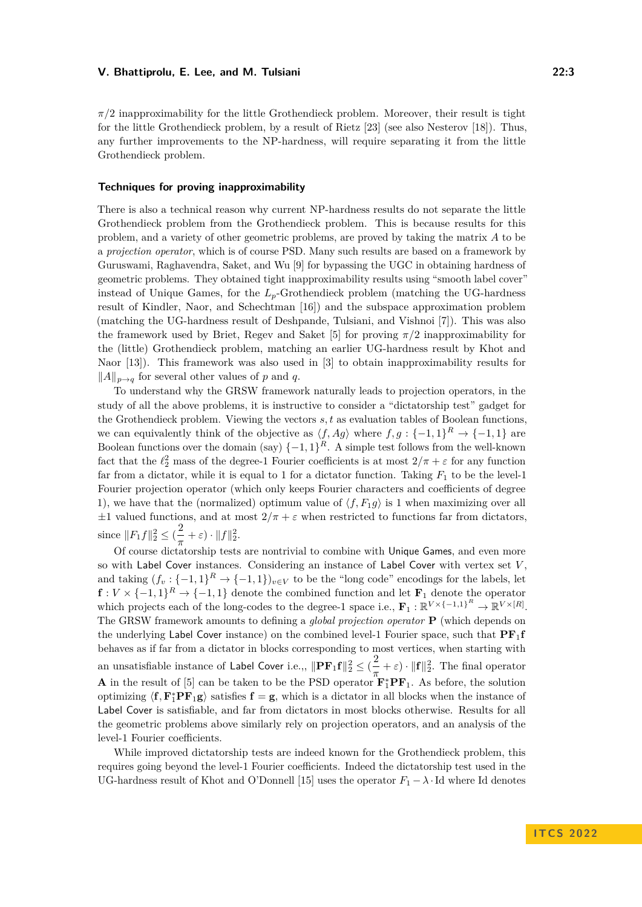$\pi/2$  inapproximability for the little Grothendieck problem. Moreover, their result is tight for the little Grothendieck problem, by a result of Rietz [\[23\]](#page-16-8) (see also Nesterov [\[18\]](#page-16-9)). Thus, any further improvements to the NP-hardness, will require separating it from the little Grothendieck problem.

#### **Techniques for proving inapproximability**

There is also a technical reason why current NP-hardness results do not separate the little Grothendieck problem from the Grothendieck problem. This is because results for this problem, and a variety of other geometric problems, are proved by taking the matrix *A* to be a *projection operator*, which is of course PSD. Many such results are based on a framework by Guruswami, Raghavendra, Saket, and Wu [\[9\]](#page-16-0) for bypassing the UGC in obtaining hardness of geometric problems. They obtained tight inapproximability results using "smooth label cover" instead of Unique Games, for the  $L_p$ -Grothendieck problem (matching the UG-hardness result of Kindler, Naor, and Schechtman [\[16\]](#page-16-10)) and the subspace approximation problem (matching the UG-hardness result of Deshpande, Tulsiani, and Vishnoi [\[7\]](#page-15-5)). This was also the framework used by Briet, Regev and Saket [\[5\]](#page-15-2) for proving *π/*2 inapproximability for the (little) Grothendieck problem, matching an earlier UG-hardness result by Khot and Naor [\[13\]](#page-16-11)). This framework was also used in [\[3\]](#page-15-6) to obtain inapproximability results for ∥*A*∥*p*→*<sup>q</sup>* for several other values of *p* and *q*.

To understand why the GRSW framework naturally leads to projection operators, in the study of all the above problems, it is instructive to consider a "dictatorship test" gadget for the Grothendieck problem. Viewing the vectors *s, t* as evaluation tables of Boolean functions, we can equivalently think of the objective as  $\langle f, Ag \rangle$  where  $f, g: \{-1, 1\}^R \to \{-1, 1\}$  are Boolean functions over the domain (say)  $\{-1,1\}^R$ . A simple test follows from the well-known fact that the  $\ell_2^2$  mass of the degree-1 Fourier coefficients is at most  $2/\pi + \varepsilon$  for any function far from a dictator, while it is equal to 1 for a dictator function. Taking *F*<sup>1</sup> to be the level-1 Fourier projection operator (which only keeps Fourier characters and coefficients of degree 1), we have that the (normalized) optimum value of  $\langle f, F_1 g \rangle$  is 1 when maximizing over all  $\pm 1$  valued functions, and at most  $2/\pi + \varepsilon$  when restricted to functions far from dictators, since  $||F_1 f||_2^2 \leq (\frac{2}{\pi})$  $\frac{2}{\pi} + \varepsilon$ ) ·  $||f||_2^2$ .

Of course dictatorship tests are nontrivial to combine with Unique Games, and even more so with Label Cover instances. Considering an instance of Label Cover with vertex set *V* , and taking  $(f_v: \{-1,1\}^R \to \{-1,1\})_{v \in V}$  to be the "long code" encodings for the labels, let  $f: V \times \{-1, 1\}^R \to \{-1, 1\}$  denote the combined function and let  $\mathbf{F}_1$  denote the operator which projects each of the long-codes to the degree-1 space i.e.,  $\mathbf{F}_1 : \mathbb{R}^{V \times \{-1,1\}^R} \to \mathbb{R}^{V \times [R]}$ . The GRSW framework amounts to defining a *global projection operator* **P** (which depends on the underlying Label Cover instance) on the combined level-1 Fourier space, such that  $PF_1f$ behaves as if far from a dictator in blocks corresponding to most vertices, when starting with an unsatisfiable instance of Label Cover i.e.,,  $\|\mathbf{PF}_1\mathbf{f}\|_2^2 \leq (\frac{2}{\pi})$  $\frac{2}{\pi} + \varepsilon$ ) ·  $\|\mathbf{f}\|_2^2$ . The final operator **A** in the result of [\[5\]](#page-15-2) can be taken to be the PSD operator  $\mathbf{F}_1^* \mathbf{P} \mathbf{F}_1$ . As before, the solution optimizing  $\langle f, F_1^* P F_1 g \rangle$  satisfies  $f = g$ , which is a dictator in all blocks when the instance of Label Cover is satisfiable, and far from dictators in most blocks otherwise. Results for all the geometric problems above similarly rely on projection operators, and an analysis of the level-1 Fourier coefficients.

While improved dictatorship tests are indeed known for the Grothendieck problem, this requires going beyond the level-1 Fourier coefficients. Indeed the dictatorship test used in the UG-hardness result of Khot and O'Donnell [\[15\]](#page-16-6) uses the operator  $F_1 - \lambda \cdot$ Id where Id denotes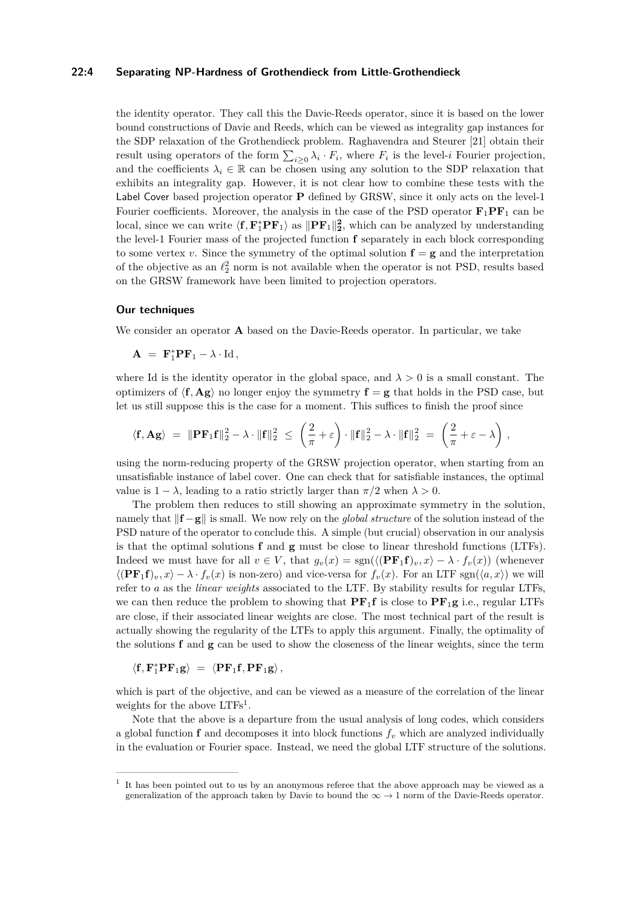## **22:4 Separating NP-Hardness of Grothendieck from Little-Grothendieck**

the identity operator. They call this the Davie-Reeds operator, since it is based on the lower bound constructions of Davie and Reeds, which can be viewed as integrality gap instances for the SDP relaxation of the Grothendieck problem. Raghavendra and Steurer [\[21\]](#page-16-7) obtain their result using operators of the form  $\sum_{i\geq 0} \lambda_i \cdot F_i$ , where  $F_i$  is the level-*i* Fourier projection, and the coefficients  $\lambda_i \in \mathbb{R}$  can be chosen using any solution to the SDP relaxation that exhibits an integrality gap. However, it is not clear how to combine these tests with the Label Cover based projection operator **P** defined by GRSW, since it only acts on the level-1 Fourier coefficients. Moreover, the analysis in the case of the PSD operator  $\mathbf{F}_1 \mathbf{P} \mathbf{F}_1$  can be local, since we can write  $\langle f, F_1^* P F_1 \rangle$  as  $||P F_1||_2^2$ , which can be analyzed by understanding the level-1 Fourier mass of the projected function **f** separately in each block corresponding to some vertex *v*. Since the symmetry of the optimal solution  $f = g$  and the interpretation of the objective as an  $\ell_2^2$  norm is not available when the operator is not PSD, results based on the GRSW framework have been limited to projection operators.

#### **Our techniques**

We consider an operator **A** based on the Davie-Reeds operator. In particular, we take

 $\mathbf{A} = \mathbf{F}_1^* \mathbf{P} \mathbf{F}_1 - \lambda \cdot \text{Id}$ ,

where Id is the identity operator in the global space, and  $\lambda > 0$  is a small constant. The optimizers of  $\langle f, Ag \rangle$  no longer enjoy the symmetry  $f = g$  that holds in the PSD case, but let us still suppose this is the case for a moment. This suffices to finish the proof since

$$
\langle \mathbf{f}, \mathbf{A} \mathbf{g} \rangle = \|\mathbf{P} \mathbf{F}_1 \mathbf{f}\|_2^2 - \lambda \cdot \|\mathbf{f}\|_2^2 \le \left(\frac{2}{\pi} + \varepsilon\right) \cdot \|\mathbf{f}\|_2^2 - \lambda \cdot \|\mathbf{f}\|_2^2 = \left(\frac{2}{\pi} + \varepsilon - \lambda\right),
$$

using the norm-reducing property of the GRSW projection operator, when starting from an unsatisfiable instance of label cover. One can check that for satisfiable instances, the optimal value is  $1 - \lambda$ , leading to a ratio strictly larger than  $\pi/2$  when  $\lambda > 0$ .

The problem then reduces to still showing an approximate symmetry in the solution, namely that ∥**f** −**g**∥ is small. We now rely on the *global structure* of the solution instead of the PSD nature of the operator to conclude this. A simple (but crucial) observation in our analysis is that the optimal solutions **f** and **g** must be close to linear threshold functions (LTFs). Indeed we must have for all  $v \in V$ , that  $q_v(x) = \text{sgn}(\langle (\mathbf{PF}_1 \mathbf{f})_v, x \rangle - \lambda \cdot f_v(x))$  (whenever  $\langle (\mathbf{PF}_1 \mathbf{f})_v, x \rangle - \lambda \cdot f_v(x)$  is non-zero) and vice-versa for  $f_v(x)$ . For an LTF sgn $(\langle a, x \rangle)$  we will refer to *a* as the *linear weights* associated to the LTF. By stability results for regular LTFs, we can then reduce the problem to showing that  $PF_1f$  is close to  $PF_1g$  i.e., regular LTFs are close, if their associated linear weights are close. The most technical part of the result is actually showing the regularity of the LTFs to apply this argument. Finally, the optimality of the solutions **f** and **g** can be used to show the closeness of the linear weights, since the term

$$
\langle {\bf f}, {\bf F}_1^* {\bf P} {\bf F}_1 {\bf g} \rangle \ = \ \langle {\bf P} {\bf F}_1 {\bf f}, {\bf P} {\bf F}_1 {\bf g} \rangle \, ,
$$

which is part of the objective, and can be viewed as a measure of the correlation of the linear weights for the above LTFs<sup>[1](#page-3-0)</sup>.

Note that the above is a departure from the usual analysis of long codes, which considers a global function  $f$  and decomposes it into block functions  $f<sub>v</sub>$  which are analyzed individually in the evaluation or Fourier space. Instead, we need the global LTF structure of the solutions.

<span id="page-3-0"></span><sup>1</sup> It has been pointed out to us by an anonymous referee that the above approach may be viewed as a generalization of the approach taken by Davie to bound the  $\infty \to 1$  norm of the Davie-Reeds operator.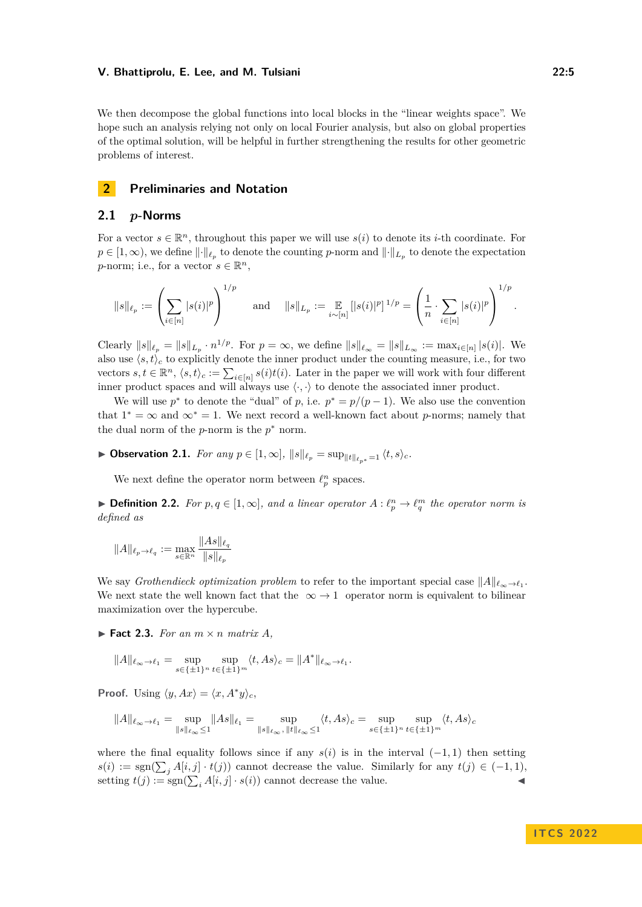We then decompose the global functions into local blocks in the "linear weights space". We hope such an analysis relying not only on local Fourier analysis, but also on global properties of the optimal solution, will be helpful in further strengthening the results for other geometric problems of interest.

# **2 Preliminaries and Notation**

#### **2.1** *p***-Norms**

For a vector  $s \in \mathbb{R}^n$ , throughout this paper we will use  $s(i)$  to denote its *i*-th coordinate. For  $p \in [1,\infty)$ , we define  $\lVert \cdot \rVert_{\ell_p}$  to denote the counting *p*-norm and  $\lVert \cdot \rVert_{L_p}$  to denote the expectation *p*-norm; i.e., for a vector  $s \in \mathbb{R}^n$ ,

$$
\|s\|_{\ell_p}:=\left(\sum_{i\in [n]} |s(i)|^p\right)^{1/p}\quad \text{ and }\quad \|s\|_{L_p}:=\mathop{\mathbb{E}}_{i\sim [n]} \left[|s(i)|^p\right]^{1/p}=\left(\frac{1}{n}\cdot \sum_{i\in [n]} |s(i)|^p\right)^{1/p}.
$$

Clearly  $||s||_{\ell_p} = ||s||_{L_p} \cdot n^{1/p}$ . For  $p = \infty$ , we define  $||s||_{\ell_\infty} = ||s||_{L_\infty} := \max_{i \in [n]} |s(i)|$ . We also use  $\langle s, t \rangle_c$  to explicitly denote the inner product under the counting measure, i.e., for two vectors  $s, t \in \mathbb{R}^n$ ,  $\langle s, t \rangle_c := \sum_{i \in [n]} s(i)t(i)$ . Later in the paper we will work with four different inner product spaces and will always use  $\langle \cdot, \cdot \rangle$  to denote the associated inner product.

We will use  $p^*$  to denote the "dual" of  $p$ , i.e.  $p^* = p/(p-1)$ . We also use the convention that  $1^* = \infty$  and  $\infty^* = 1$ . We next record a well-known fact about *p*-norms; namely that the dual norm of the  $p$ -norm is the  $p^*$  norm.

▶ **Observation 2.1.** *For any*  $p \in [1, \infty]$ ,  $||s||_{\ell_p} = \sup_{||t||_{\ell_{p}} \leq 1} \langle t, s \rangle_c$ .

We next define the operator norm between  $\ell_p^n$  spaces.

▶ **Definition 2.2.** *For*  $p, q \in [1, \infty]$ *, and a linear operator*  $A: \ell_p^n \to \ell_q^m$  *the operator norm is defined as*

$$
||A||_{\ell_p \to \ell_q} := \max_{s \in \mathbb{R}^n} \frac{||As||_{\ell_q}}{||s||_{\ell_p}}
$$

We say *Grothendieck optimization problem* to refer to the important special case ∥*A*∥*ℓ*∞→*ℓ*<sup>1</sup> . We next state the well known fact that the  $\infty \to 1$  operator norm is equivalent to bilinear maximization over the hypercube.

 $\blacktriangleright$  **Fact 2.3.** For an  $m \times n$  matrix A,

$$
||A||_{\ell_{\infty}\to\ell_1} = \sup_{s\in\{\pm 1\}^n} \sup_{t\in\{\pm 1\}^m} \langle t, As\rangle_c = ||A^*||_{\ell_{\infty}\to\ell_1}.
$$

**Proof.** Using  $\langle y, Ax \rangle = \langle x, A^*y \rangle_c$ ,

$$
\|A\|_{\ell_\infty\to\ell_1}=\sup_{\|s\|_{\ell_\infty}\le 1}\|As\|_{\ell_1}=\sup_{\|s\|_{\ell_\infty},\, \|t\|_{\ell_\infty}\le 1}\langle t, As\rangle_c=\sup_{s\in\{\pm 1\}^n}\sup_{t\in\{\pm 1\}^m}\langle t, As\rangle_c
$$

where the final equality follows since if any  $s(i)$  is in the interval (−1, 1) then setting  $s(i) := \text{sgn}(\sum_{j} A[i, j] \cdot t(j))$  cannot decrease the value. Similarly for any  $t(j) \in (-1, 1)$ , setting  $t(j) := \text{sgn}(\sum_i A[i, j] \cdot s(i))$  cannot decrease the value.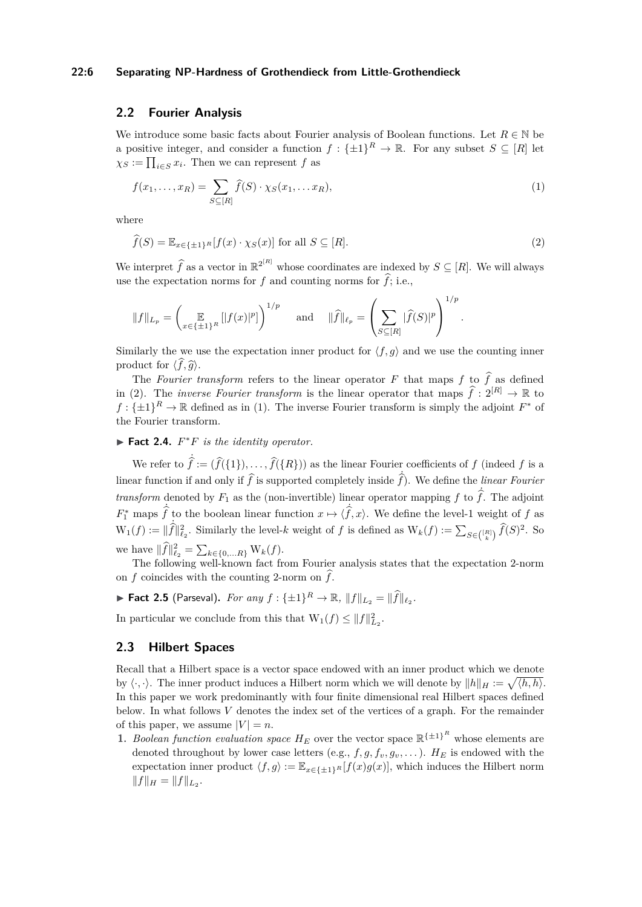# **22:6 Separating NP-Hardness of Grothendieck from Little-Grothendieck**

# **2.2 Fourier Analysis**

We introduce some basic facts about Fourier analysis of Boolean functions. Let  $R \in \mathbb{N}$  be a positive integer, and consider a function  $f: {\{\pm 1\}}^R \to \mathbb{R}$ . For any subset  $S \subseteq [R]$  let  $\chi_S := \prod_{i \in S} x_i$ . Then we can represent *f* as

<span id="page-5-1"></span>
$$
f(x_1, \ldots, x_R) = \sum_{S \subseteq [R]} \widehat{f}(S) \cdot \chi_S(x_1, \ldots x_R), \tag{1}
$$

where

<span id="page-5-0"></span>
$$
\widehat{f}(S) = \mathbb{E}_{x \in \{\pm 1\}^R} [f(x) \cdot \chi_S(x)] \text{ for all } S \subseteq [R].
$$
\n(2)

We interpret  $\hat{f}$  as a vector in  $\mathbb{R}^{2^{[R]}}$  whose coordinates are indexed by  $S \subseteq [R]$ . We will always use the expectation norms for  $f$  and counting norms for  $\hat{f}$ ; i.e.,

$$
||f||_{L_p} = \left(\mathop{\mathbb{E}}_{x \in {\{\pm 1\}^R}}[|f(x)|^p]\right)^{1/p} \text{ and } ||\widehat{f}||_{\ell_p} = \left(\sum_{S \subseteq [R]}|\widehat{f}(S)|^p\right)^{1/p}.
$$

Similarly the we use the expectation inner product for  $\langle f, q \rangle$  and we use the counting inner product for  $\langle f, \hat{g} \rangle$ .

The *Fourier transform* refers to the linear operator F that maps f to  $\hat{f}$  as defined in [\(2\)](#page-5-0). The *inverse Fourier transform* is the linear operator that maps  $\hat{f}: 2^{[R]} \to \mathbb{R}$  to  $f: \{\pm 1\}^R \to \mathbb{R}$  defined as in [\(1\)](#page-5-1). The inverse Fourier transform is simply the adjoint  $F^*$  of the Fourier transform.

 $\blacktriangleright$  **Fact 2.4.**  $F^*F$  *is the identity operator.* 

We refer to  $\hat{f} := (\hat{f}(\{1\}), \dots, \hat{f}(\{R\}))$  as the linear Fourier coefficients of *f* (indeed *f* is a linear function if and only if  $\hat{f}$  is supported completely inside  $\hat{f}$ ). We define the *linear Fourier transform* denoted by  $F_1$  as the (non-invertible) linear operator mapping f to  $\hat{f}$ . The adjoint  $F_1^*$  maps  $\hat{f}$  to the boolean linear function  $x \mapsto \langle \hat{f}, x \rangle$ . We define the level-1 weight of *f* as  $W_1(f) := ||\hat{f}||_{\ell_2}^2$ . Similarly the level-*k* weight of *f* is defined as  $W_k(f) := \sum_{S \in \binom{[R]}{k}} \hat{f}(S)^2$ . So we have  $||\hat{f}||_{\ell_2}^2 = \sum_{k \in \{0, \ldots R\}} W_k(f)$ .

The following well-known fact from Fourier analysis states that the expectation 2-norm on *f* coincides with the counting 2-norm on  $\hat{f}$ .

▶ **Fact 2.5** (Parseval). For any  $f: \{\pm 1\}^R \rightarrow \mathbb{R}, ||f||_{L_2} = ||\widehat{f}||_{\ell_2}$ .

In particular we conclude from this that  $W_1(f) \leq ||f||_{L_2}^2$ .

# **2.3 Hilbert Spaces**

Recall that a Hilbert space is a vector space endowed with an inner product which we denote by  $\langle \cdot, \cdot \rangle$ . The inner product induces a Hilbert norm which we will denote by  $||h||_H := \sqrt{\langle h, h \rangle}$ . In this paper we work predominantly with four finite dimensional real Hilbert spaces defined below. In what follows *V* denotes the index set of the vertices of a graph. For the remainder of this paper, we assume  $|V| = n$ .

**1.** *Boolean function evaluation space*  $H_E$  over the vector space  $\mathbb{R}^{\{\pm 1\}^R}$  whose elements are denoted throughout by lower case letters (e.g.,  $f, g, f_v, g_v, \ldots$ ).  $H_E$  is endowed with the expectation inner product  $\langle f, g \rangle := \mathbb{E}_{x \in \{\pm 1\}^R} [f(x)g(x)]$ , which induces the Hilbert norm  $||f||_H = ||f||_{L_2}.$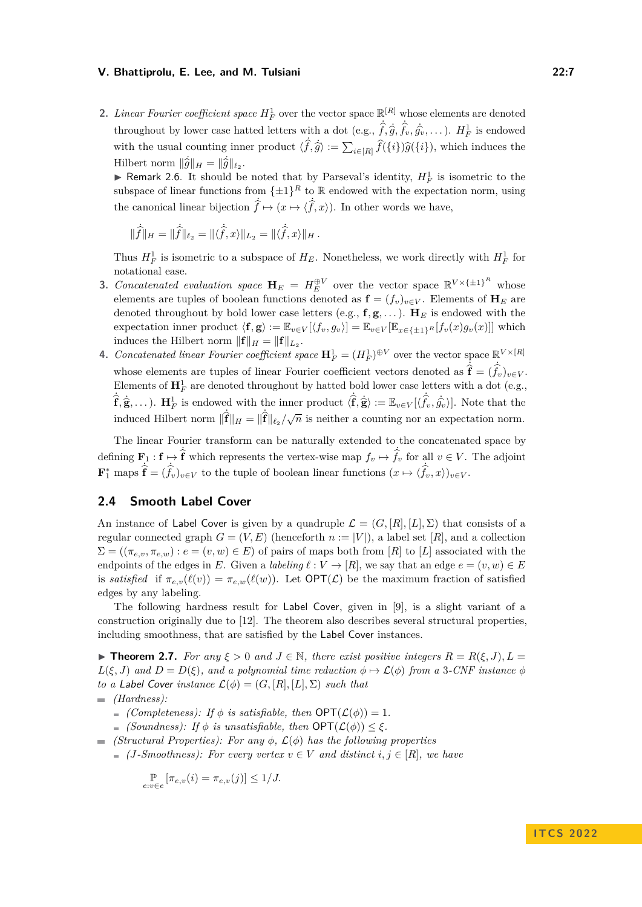2. *Linear Fourier coefficient space*  $H_F^1$  over the vector space  $\mathbb{R}^{[R]}$  whose elements are denoted throughout by lower case hatted letters with a dot (e.g.,  $\hat{f}, \hat{g}, \hat{f}_v, \hat{g}_v, \dots$ ).  $H_F^1$  is endowed with the usual counting inner product  $\langle \hat{f}, \hat{g} \rangle := \sum_{i \in [R]} \hat{f}(\{i\}) \hat{g}(\{i\}),$  which induces the Hilbert norm  $\|\hat{g}\|_H = \|\hat{g}\|_{\ell_2}$ .

▶ Remark 2.6. It should be noted that by Parseval's identity,  $H_F^1$  is isometric to the subspace of linear functions from  $\{\pm 1\}^R$  to R endowed with the expectation norm, using the canonical linear bijection  $\hat{f} \mapsto (x \mapsto \langle \hat{f}, x \rangle)$ . In other words we have,

$$
\|\hat{f}\|_{H} = \|\hat{f}\|_{\ell_2} = \|\langle \hat{f}, x \rangle\|_{L_2} = \|\langle \hat{f}, x \rangle\|_{H}.
$$

Thus  $H_F^1$  is isometric to a subspace of  $H_E$ . Nonetheless, we work directly with  $H_F^1$  for notational ease.

- **3.** *Concatenated evaluation space*  $\mathbf{H}_E = H_E^{\oplus V}$  over the vector space  $\mathbb{R}^{V \times {\{\pm 1\}}^R}$  whose elements are tuples of boolean functions denoted as  $\mathbf{f} = (f_v)_{v \in V}$ . Elements of  $\mathbf{H}_E$  are denoted throughout by bold lower case letters (e.g.,  $f, g, \ldots$ ).  $H_E$  is endowed with the expectation inner product  $\langle \mathbf{f}, \mathbf{g} \rangle := \mathbb{E}_{v \in V} [\langle f_v, g_v \rangle] = \mathbb{E}_{v \in V} [\mathbb{E}_{x \in \{\pm 1\}^R} [f_v(x) g_v(x)]]$  which induces the Hilbert norm  $||\mathbf{f}||_H = ||\mathbf{f}||_{L_2}$ .
- **4.** *Concatenated linear Fourier coefficient space*  $\mathbf{H}_F^1 = (H_F^1)^{\oplus V}$  over the vector space  $\mathbb{R}^{V \times [R]}$ whose elements are tuples of linear Fourier coefficient vectors denoted as  $\hat{\hat{f}} = (\hat{f}_v)_{v \in V}$ . Elements of  $\mathbf{H}_{F}^{1}$  are denoted throughout by hatted bold lower case letters with a dot (e.g.,  $\hat{\mathbf{f}}, \hat{\mathbf{g}}, \dots$ ).  $\mathbf{H}_F^1$  is endowed with the inner product  $\langle \hat{\mathbf{f}}, \hat{\mathbf{g}} \rangle := \mathbb{E}_{v \in V} [\langle \hat{f}_v, \hat{g}_v \rangle]$ . Note that the induced Hilbert norm  $\|\hat{\mathbf{f}}\|_H = \|\hat{\mathbf{f}}\|_{\ell_2}/\sqrt{n}$  is neither a counting nor an expectation norm.

The linear Fourier transform can be naturally extended to the concatenated space by defining  $\mathbf{F}_1 : \mathbf{f} \mapsto \hat{\mathbf{f}}$  which represents the vertex-wise map  $f_v \mapsto \hat{f}_v$  for all  $v \in V$ . The adjoint  $\mathbf{F}_1^*$  maps  $\hat{\mathbf{f}} = (\hat{f}_v)_{v \in V}$  to the tuple of boolean linear functions  $(x \mapsto \langle \hat{f}_v, x \rangle)_{v \in V}$ .

# **2.4 Smooth Label Cover**

An instance of Label Cover is given by a quadruple  $\mathcal{L} = (G, [R], [L], \Sigma)$  that consists of a regular connected graph  $G = (V, E)$  (henceforth  $n := |V|$ ), a label set [R], and a collection  $\Sigma = ((\pi_{e,v}, \pi_{e,w}) : e = (v, w) \in E)$  of pairs of maps both from [*R*] to [*L*] associated with the endpoints of the edges in *E*. Given a *labeling*  $\ell: V \to [R]$ , we say that an edge  $e = (v, w) \in E$ is *satisfied* if  $\pi_{e,v}(\ell(v)) = \pi_{e,w}(\ell(w))$ . Let  $\text{OPT}(\mathcal{L})$  be the maximum fraction of satisfied edges by any labeling.

The following hardness result for Label Cover, given in [\[9\]](#page-16-0), is a slight variant of a construction originally due to [\[12\]](#page-16-12). The theorem also describes several structural properties, including smoothness, that are satisfied by the Label Cover instances.

<span id="page-6-0"></span>**Figure 1.7.** For any  $\xi > 0$  and  $J \in \mathbb{N}$ , there exist positive integers  $R = R(\xi, J)$ ,  $L =$  $L(\xi, J)$  *and*  $D = D(\xi)$ *, and a polynomial time reduction*  $\phi \mapsto \mathcal{L}(\phi)$  *from a* 3*-CNF instance*  $\phi$ *to a Label Cover instance*  $\mathcal{L}(\phi) = (G, [R], [L], \Sigma)$  *such that (Hardness):*

- $(Complexent)$  *(Completeness): If*  $\phi$  *is satisfiable, then*  $OPT(\mathcal{L}(\phi)) = 1$ *.* 
	- $\leq$  *(Soundness): If*  $\phi$  *is unsatisfiable, then*  $\mathsf{OPT}(\mathcal{L}(\phi)) \leq \xi$ *.*
- $\blacksquare$  *(Structural Properties): For any*  $\phi$ ,  $\mathcal{L}(\phi)$  has the following properties
	- $($ *J-Smoothness* $)$ : For every vertex  $v \in V$  and distinct  $i, j \in [R]$ , we have

$$
\underset{e:v\in e}{\mathbb{P}}\left[\pi_{e,v}(i)=\pi_{e,v}(j)\right]\leq 1/J.
$$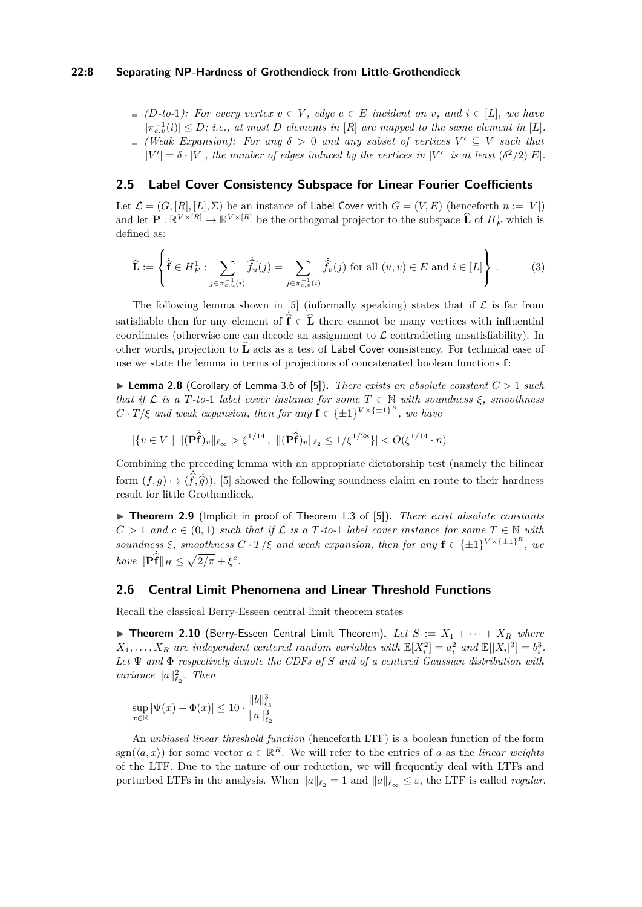#### **22:8 Separating NP-Hardness of Grothendieck from Little-Grothendieck**

 $(D$ <sup>-to-1</sup>): For every vertex  $v \in V$ , edge  $e \in E$  incident on v, and  $i \in [L]$ , we have  $|\pi_{e,v}^{-1}(i)| \leq D$ ; *i.e.*, at most *D* elements in [*R*] are mapped to the same element in [*L*]. *(Weak Expansion): For any*  $\delta > 0$  *and any subset of vertices*  $V' \subseteq V$  *such that*  $|V'| = \delta \cdot |V|$ , the number of edges induced by the vertices in  $|V'|$  is at least  $(\delta^2/2)|E|$ .

# **2.5 Label Cover Consistency Subspace for Linear Fourier Coefficients**

Let  $\mathcal{L} = (G, [R], [L], \Sigma)$  be an instance of Label Cover with  $G = (V, E)$  (henceforth  $n := |V|$ ) and let  $\mathbf{P} : \mathbb{R}^{V \times [R]} \to \mathbb{R}^{V \times [R]}$  be the orthogonal projector to the subspace  $\widehat{\mathbf{L}}$  of  $H_F^1$  which is defined as:

$$
\widehat{\mathbf{L}} := \left\{ \dot{\widehat{\mathbf{f}}} \in H_F^1 : \sum_{j \in \pi_{e,u}^{-1}(i)} \dot{\widehat{f}_u}(j) = \sum_{j \in \pi_{e,v}^{-1}(i)} \dot{\widehat{f}_v}(j) \text{ for all } (u,v) \in E \text{ and } i \in [L] \right\}.
$$
 (3)

The following lemma shown in [\[5\]](#page-15-2) (informally speaking) states that if  $\mathcal L$  is far from satisfiable then for any element of  $\hat{\mathbf{f}} \in \hat{\mathbf{L}}$  there cannot be many vertices with influential coordinates (otherwise one can decode an assignment to  $\mathcal L$  contradicting unsatisfiability). In other words, projection to  $\hat{\mathbf{L}}$  acts as a test of Label Cover consistency. For technical ease of use we state the lemma in terms of projections of concatenated boolean functions **f**:

<span id="page-7-2"></span> $\blacktriangleright$  **Lemma 2.8** (Corollary of Lemma 3.6 of [\[5\]](#page-15-2)). *There exists an absolute constant*  $C > 1$  *such that if*  $\mathcal{L}$  *is a*  $T$ *-to-*1 *label cover instance for some*  $T \in \mathbb{N}$  *with soundness*  $\xi$ *, smoothness*  $C \cdot T/\xi$  and weak expansion, then for any  $f \in {\pm 1}^{V \times {\{\pm 1\}}^R}$ , we have

$$
|\{v \in V \mid ||(\mathbf{P}\hat{\mathbf{f}})_{v}||_{\ell_{\infty}} > \xi^{1/14}, ||(\mathbf{P}\hat{\mathbf{f}})_{v}||_{\ell_{2}} \le 1/\xi^{1/28}\}| < O(\xi^{1/14} \cdot n)
$$

Combining the preceding lemma with an appropriate dictatorship test (namely the bilinear form  $(f, g) \mapsto \langle f, \hat{g} \rangle$ ), [\[5\]](#page-15-2) showed the following soundness claim en route to their hardness result for little Grothendieck.

<span id="page-7-1"></span>▶ **Theorem 2.9** (Implicit in proof of Theorem 1.3 of [\[5\]](#page-15-2)). *There exist absolute constants*  $C > 1$  *and*  $c \in (0,1)$  *such that if*  $\mathcal{L}$  *is a*  $T$ *-to-*1 *label cover instance for some*  $T \in \mathbb{N}$  *with soundness*  $\xi$ *, smoothness*  $C \cdot T/\xi$  *and weak expansion, then for any*  $f \in \{\pm 1\}^{V \times {\{\pm 1\}}^R}$ *, we have*  $\|\mathbf{P}\hat{\mathbf{f}}\|_H \leq \sqrt{2/\pi} + \xi^c$ *.* 

# **2.6 Central Limit Phenomena and Linear Threshold Functions**

<span id="page-7-0"></span>Recall the classical Berry-Esseen central limit theorem states

 $\blacktriangleright$  **Theorem 2.10** (Berry-Esseen Central Limit Theorem). Let  $S := X_1 + \cdots + X_R$  where  $X_1, \ldots, X_R$  are independent centered random variables with  $\mathbb{E}[X_i^2] = a_i^2$  and  $\mathbb{E}[|X_i|^3] = b_i^3$ . *Let* Ψ *and* Φ *respectively denote the CDFs of S and of a centered Gaussian distribution with variance*  $||a||_{\ell_2}^2$ . *Then* 

$$
\sup_{x \in \mathbb{R}} |\Psi(x) - \Phi(x)| \le 10 \cdot \frac{\|b\|_{\ell_3}^3}{\|a\|_{\ell_2}^3}
$$

An *unbiased linear threshold function* (henceforth LTF) is a boolean function of the form sgn( $\langle a, x \rangle$ ) for some vector  $a \in \mathbb{R}^R$ . We will refer to the entries of *a* as the *linear weights* of the LTF. Due to the nature of our reduction, we will frequently deal with LTFs and perturbed LTFs in the analysis. When  $||a||_{\ell_2} = 1$  and  $||a||_{\ell_{\infty}} \leq \varepsilon$ , the LTF is called *regular*.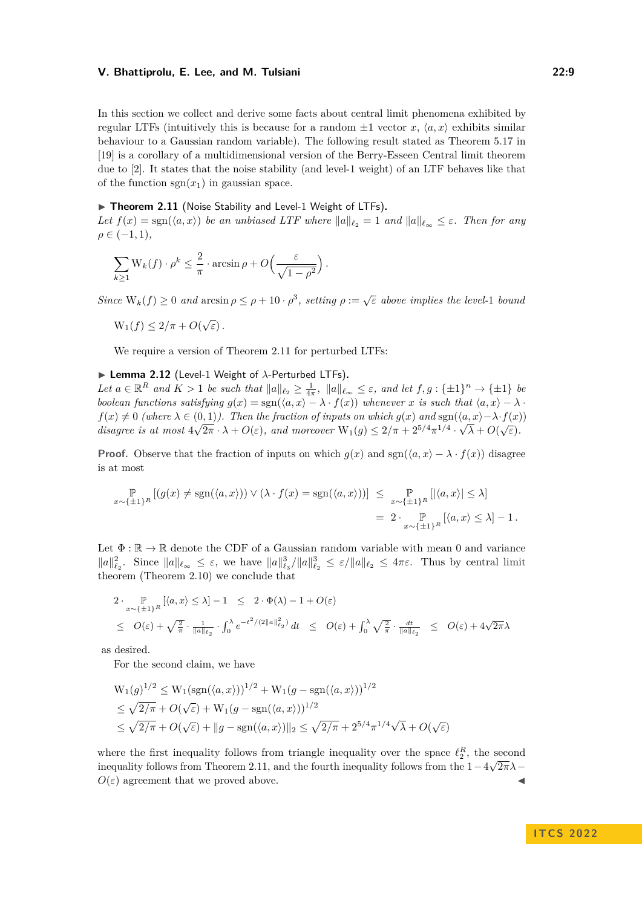In this section we collect and derive some facts about central limit phenomena exhibited by regular LTFs (intuitively this is because for a random  $\pm 1$  vector *x*,  $\langle a, x \rangle$  exhibits similar behaviour to a Gaussian random variable). The following result stated as Theorem 5.17 in [\[19\]](#page-16-13) is a corollary of a multidimensional version of the Berry-Esseen Central limit theorem due to [\[2\]](#page-15-7). It states that the noise stability (and level-1 weight) of an LTF behaves like that of the function  $sgn(x_1)$  in gaussian space.

# <span id="page-8-0"></span>▶ Theorem 2.11 (Noise Stability and Level-1 Weight of LTFs).

*Let*  $f(x) = \text{sgn}(\langle a, x \rangle)$  *be an unbiased LTF where*  $||a||_{\ell_2} = 1$  *and*  $||a||_{\ell_\infty} \leq \varepsilon$ *. Then for any*  $\rho \in (-1, 1)$ ,

$$
\sum_{k\geq 1} \mathcal{W}_k(f) \cdot \rho^k \leq \frac{2}{\pi} \cdot \arcsin \rho + O\left(\frac{\varepsilon}{\sqrt{1-\rho^2}}\right).
$$

*Since*  $W_k(f) \geq 0$  *and* arcsin  $\rho \leq \rho + 10 \cdot \rho^3$ , setting  $\rho := \sqrt{\varepsilon}$  above implies the level-1 bound

$$
W_1(f) \le 2/\pi + O(\sqrt{\varepsilon}).
$$

We require a version of Theorem [2.11](#page-8-0) for perturbed LTFs:

#### <span id="page-8-1"></span>▶ **Lemma 2.12** (Level-1 Weight of *λ*-Perturbed LTFs)**.**

Let  $a \in \mathbb{R}^R$  and  $K > 1$  be such that  $||a||_{\ell_2} \geq \frac{1}{4\pi}$ ,  $||a||_{\ell_\infty} \leq \varepsilon$ , and let  $f, g: \{\pm 1\}^n \to \{\pm 1\}$  be *boolean functions satisfying*  $g(x) = \text{sgn}(\langle a, x \rangle - \lambda \cdot f(x))$  *whenever x is such that*  $\langle a, x \rangle - \lambda \cdot f(x)$  $f(x) \neq 0$  (where  $\lambda \in (0,1)$ ). Then the fraction of inputs on which  $g(x)$  and  $sgn(\langle a, x \rangle - \lambda \cdot f(x))$ *disagree is at most*  $4\sqrt{2\pi} \cdot \lambda + O(\varepsilon)$ *, and moreover*  $W_1(g) \leq 2/\pi + 2^{5/4}\pi^{1/4} \cdot \sqrt{\lambda} + O(\sqrt{\varepsilon})$ *.* 

**Proof.** Observe that the fraction of inputs on which  $g(x)$  and  $sgn(\langle a, x \rangle - \lambda \cdot f(x))$  disagree is at most

$$
\mathbb{P}_{x \sim \{\pm 1\}^R} [(g(x) \neq \text{sgn}(\langle a, x \rangle)) \vee (\lambda \cdot f(x) = \text{sgn}(\langle a, x \rangle))] \leq \mathbb{P}_{x \sim \{\pm 1\}^R} [|\langle a, x \rangle| \leq \lambda]
$$
  
=  $2 \cdot \mathbb{P}_{x \sim \{\pm 1\}^R} [ \langle a, x \rangle \leq \lambda ] - 1.$ 

Let  $\Phi : \mathbb{R} \to \mathbb{R}$  denote the CDF of a Gaussian random variable with mean 0 and variance  $||a||_{\ell_2}^2$ . Since  $||a||_{\ell_\infty} \leq \varepsilon$ , we have  $||a||_{\ell_2}^3/||a||_{\ell_2}^3 \leq \varepsilon/||a||_{\ell_2} \leq 4\pi\varepsilon$ . Thus by central limit theorem (Theorem [2.10\)](#page-7-0) we conclude that

$$
2 \cdot \sup_{x \sim \{\pm 1\}^R} \left[ \langle a, x \rangle \le \lambda \right] - 1 \le 2 \cdot \Phi(\lambda) - 1 + O(\varepsilon)
$$
  

$$
\le O(\varepsilon) + \sqrt{\frac{2}{\pi}} \cdot \frac{1}{\|a\|_{\ell_2}} \cdot \int_0^\lambda e^{-t^2/(2\|a\|_{\ell_2}^2)} dt \le O(\varepsilon) + \int_0^\lambda \sqrt{\frac{2}{\pi}} \cdot \frac{dt}{\|a\|_{\ell_2}} \le O(\varepsilon) + 4\sqrt{2\pi}\lambda
$$

as desired.

For the second claim, we have

$$
W_1(g)^{1/2} \le W_1(\text{sgn}(\langle a, x \rangle))^{1/2} + W_1(g - \text{sgn}(\langle a, x \rangle))^{1/2}
$$
  
\n
$$
\le \sqrt{2/\pi} + O(\sqrt{\varepsilon}) + W_1(g - \text{sgn}(\langle a, x \rangle))^{1/2}
$$
  
\n
$$
\le \sqrt{2/\pi} + O(\sqrt{\varepsilon}) + ||g - \text{sgn}(\langle a, x \rangle)||_2 \le \sqrt{2/\pi} + 2^{5/4} \pi^{1/4} \sqrt{\lambda} + O(\sqrt{\varepsilon})
$$

where the first inequality follows from triangle inequality over the space  $\ell_2^R$ , the second inequality follows from Theorem [2.11,](#page-8-0) and the fourth inequality follows from the 1−4 2*πλ*−  $O(\varepsilon)$  agreement that we proved above.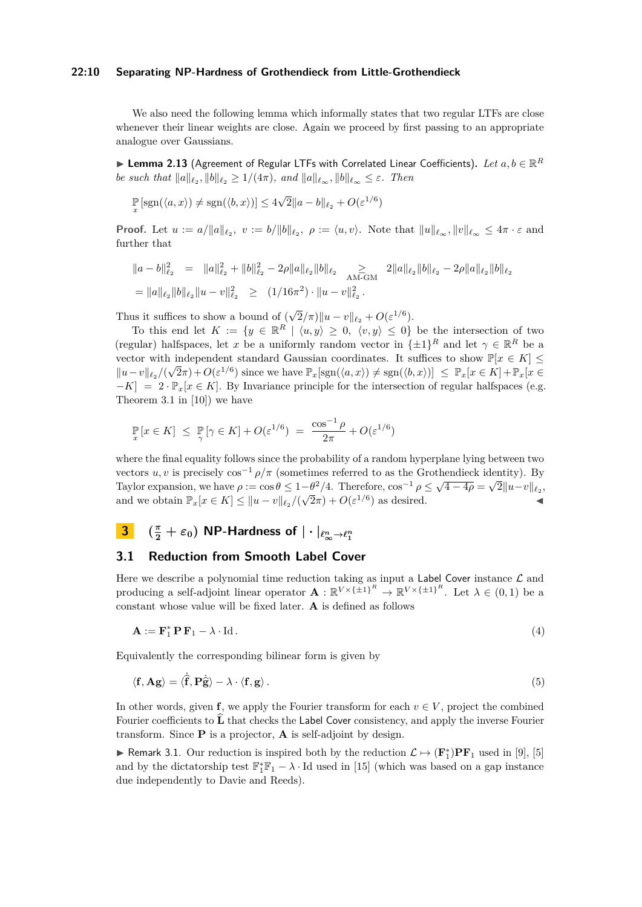#### **22:10 Separating NP-Hardness of Grothendieck from Little-Grothendieck**

We also need the following lemma which informally states that two regular LTFs are close whenever their linear weights are close. Again we proceed by first passing to an appropriate analogue over Gaussians.

<span id="page-9-0"></span>▶ **Lemma 2.13** (Agreement of Regular LTFs with Correlated Linear Coefficients)**.** *Let a, b* ∈ R *R be such that*  $||a||_{\ell_2}, ||b||_{\ell_2} \geq 1/(4\pi)$ *, and*  $||a||_{\ell_\infty}, ||b||_{\ell_\infty} \leq \varepsilon$ *. Then* 

$$
\mathbb{P}\left[\text{sgn}(\langle a, x\rangle) \neq \text{sgn}(\langle b, x\rangle)\right] \leq 4\sqrt{2} \|a - b\|_{\ell_2} + O(\varepsilon^{1/6})
$$

**Proof.** Let  $u := a/||a||_{\ell_2}, v := b/||b||_{\ell_2}, \rho := \langle u, v \rangle$ . Note that  $||u||_{\ell_\infty}, ||v||_{\ell_\infty} \leq 4\pi \cdot \varepsilon$  and further that

$$
\begin{aligned}\n\|a - b\|_{\ell_2}^2 &= \|a\|_{\ell_2}^2 + \|b\|_{\ell_2}^2 - 2\rho \|a\|_{\ell_2} \|b\|_{\ell_2} \quad \geq \\
&\geq \|a\|_{\ell_2} \|b\|_{\ell_2} - 2\rho \|a\|_{\ell_2} \|b\|_{\ell_2} \\
&= \|a\|_{\ell_2} \|b\|_{\ell_2} \|u - v\|_{\ell_2}^2 \quad \geq \\
&\quad (1/16\pi^2) \cdot \|u - v\|_{\ell_2}^2.\n\end{aligned}
$$

Thus it suffices to show a bound of ( √  $\overline{2}/\pi$ )|| $u - v||_{\ell_2} + O(\varepsilon^{1/6}).$ 

To this end let  $K := \{y \in \mathbb{R}^R \mid \langle u, y \rangle \geq 0, \langle v, y \rangle \leq 0\}$  be the intersection of two (regular) halfspaces, let *x* be a uniformly random vector in  $\{\pm 1\}^R$  and let  $\gamma \in \mathbb{R}^R$  be a vector with independent standard Gaussian coordinates. It suffices to show  $\mathbb{P}[x \in K] \leq$  $||u - v||_{\ell_2}/(\sqrt{2}\pi) + O(\varepsilon^{1/6})$  since we have  $\mathbb{P}_x[\text{sgn}(\langle a, x \rangle) \neq \text{sgn}(\langle b, x \rangle)] \leq \mathbb{P}_x[x \in K] + \mathbb{P}_x[x \in K]$  $-K$ ] = 2 ·  $\mathbb{P}_x[x \in K]$ . By Invariance principle for the intersection of regular halfspaces (e.g. Theorem 3.1 in [\[10\]](#page-16-14)) we have

$$
\mathbb{P}_{x}[x \in K] \leq \mathbb{P}_{\gamma}[\gamma \in K] + O(\varepsilon^{1/6}) = \frac{\cos^{-1}\rho}{2\pi} + O(\varepsilon^{1/6})
$$

where the final equality follows since the probability of a random hyperplane lying between two vectors *u*, *v* is precisely  $\cos^{-1} \rho / \pi$  (sometimes referred to as the Grothendieck identity). By Taylor expansion, we have  $\rho := \cos \theta \leq 1 - \theta^2/4$ . Therefore,  $\cos^{-1} \rho \leq \sqrt{4 - 4\rho} = \sqrt{2} \|u - v\|_{\ell_2}$ , and we obtain  $\mathbb{P}_x[x \in K] \le ||u - v||_{\ell_2}/(\sqrt{2}\pi) + O(\varepsilon^{1/6})$  as desired.

# **3**  $(\frac{\pi}{2} + \varepsilon_0)$  NP-Hardness of  $|\cdot|_{\ell_\infty^n \to \ell_1^n}$

# <span id="page-9-1"></span>**3.1 Reduction from Smooth Label Cover**

Here we describe a polynomial time reduction taking as input a  $\sf {Label}$  Cover instance  $\mathcal L$  and producing a self-adjoint linear operator  $\mathbf{A}: \mathbb{R}^{V \times {\{\pm 1\}}^R} \to \mathbb{R}^{V \times {\{\pm 1\}}^R}$ . Let  $\lambda \in (0,1)$  be a constant whose value will be fixed later. **A** is defined as follows

$$
\mathbf{A} := \mathbf{F}_1^* \mathbf{P} \mathbf{F}_1 - \lambda \cdot \mathrm{Id} \,. \tag{4}
$$

Equivalently the corresponding bilinear form is given by

$$
\langle \mathbf{f}, \mathbf{A}\mathbf{g} \rangle = \langle \hat{\mathbf{f}}, \mathbf{P}\hat{\mathbf{g}} \rangle - \lambda \cdot \langle \mathbf{f}, \mathbf{g} \rangle. \tag{5}
$$

In other words, given **f**, we apply the Fourier transform for each  $v \in V$ , project the combined Fourier coefficients to **L** that checks the Label Cover consistency, and apply the inverse Fourier transform. Since **P** is a projector, **A** is self-adjoint by design.

▶ Remark 3.1. Our reduction is inspired both by the reduction  $\mathcal{L} \mapsto (\mathbf{F}_1^*)\mathbf{P}\mathbf{F}_1$  used in [\[9\]](#page-16-0), [\[5\]](#page-15-2) and by the dictatorship test  $\mathbb{F}_1^* \mathbb{F}_1 - \lambda \cdot \text{Id}$  used in [\[15\]](#page-16-6) (which was based on a gap instance due independently to Davie and Reeds).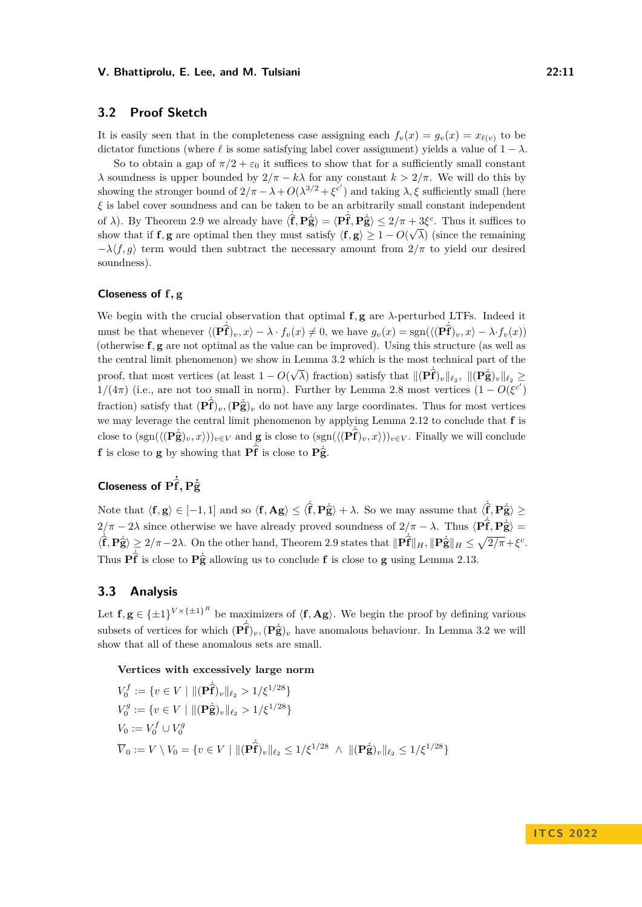# **3.2 Proof Sketch**

It is easily seen that in the completeness case assigning each  $f_v(x) = g_v(x) = x_{\ell(v)}$  to be dictator functions (where  $\ell$  is some satisfying label cover assignment) yields a value of  $1 - \lambda$ .

So to obtain a gap of  $\pi/2 + \varepsilon_0$  it suffices to show that for a sufficiently small constant *λ* soundness is upper bounded by  $2/\pi - k\lambda$  for any constant  $k > 2/\pi$ . We will do this by showing the stronger bound of  $2/\pi - \lambda + O(\lambda^{3/2} + \xi^{c'})$  and taking  $\lambda, \xi$  sufficiently small (here *ξ* is label cover soundness and can be taken to be an arbitrarily small constant independent of *λ*). By Theorem [2.9](#page-7-1) we already have  $\langle \hat{f}, \hat{P} \hat{g} \rangle = \langle P \hat{f}, P \hat{g} \rangle \leq 2/\pi + 3\xi^c$ . Thus it suffices to<br>show that if **f**, g are artimal than they must satisfy  $\langle f, g \rangle > 1$ .  $O(\sqrt{\lambda})$  (since the remaining show that if **f***,* **g** are optimal then they must satisfy  $\langle \mathbf{f}, \mathbf{g} \rangle \geq 1 - O(\sqrt{\lambda})$  (since the remaining −*λ*⟨*f, g*⟩ term would then subtract the necessary amount from 2*/π* to yield our desired soundness).

# **Closeness of f***,* **g**

We begin with the crucial observation that optimal **f***,* **g** are *λ*-perturbed LTFs. Indeed it must be that whenever  $\langle (\mathbf{P} \hat{\mathbf{f}})_v, x \rangle - \lambda \cdot f_v(x) \neq 0$ , we have  $g_v(x) = \text{sgn}(\langle (\mathbf{P} \hat{\mathbf{f}})_v, x \rangle - \lambda \cdot f_v(x))$ (otherwise **f***,* **g** are not optimal as the value can be improved). Using this structure (as well as the central limit phenomenon) we show in Lemma [3.2](#page-11-0) which is the most technical part of the proof, that most vertices (at least 1 − *O*( √  $\overline{\lambda}$ ) fraction) satisfy that  $\|(\mathbf{P} \hat{\mathbf{f}})_{v}\|_{\ell_{2}}$ ,  $\|(\mathbf{P} \hat{\mathbf{g}})_{v}\|_{\ell_{2}} \geq$  $1/(4\pi)$  (i.e., are not too small in norm). Further by Lemma [2.8](#page-7-2) most vertices  $(1 - O(\xi^{c'})$ fraction) satisfy that  $(\hat{\mathbf{P}}\hat{\mathbf{f}})_{v}$ ,  $(\hat{\mathbf{P}}\hat{\mathbf{g}})_{v}$  do not have any large coordinates. Thus for most vertices we may leverage the central limit phenomenon by applying Lemma [2.12](#page-8-1) to conclude that **f** is close to  $(\text{sgn}(\langle (\mathbf{P} \hat{\mathbf{g}})_v, x \rangle))_{v \in V}$  and **g** is close to  $(\text{sgn}(\langle (\mathbf{P} \hat{\mathbf{f}})_v, x \rangle))_{v \in V}$ . Finally we will conclude **f** is close to **g** by showing that  $\overrightarrow{Pf}$  is close to  $\overrightarrow{Pg}$ .

# **Closeness of**  $\hat{\text{Pf}}$ ,  $\hat{\text{Pg}}$

Note that  $\langle \mathbf{f}, \mathbf{g} \rangle \in [-1, 1]$  and so  $\langle \mathbf{f}, \mathbf{Ag} \rangle \leq \langle \mathbf{f}, \mathbf{P}\hat{\mathbf{g}} \rangle + \lambda$ . So we may assume that  $\langle \mathbf{f}, \mathbf{P}\hat{\mathbf{g}} \rangle \geq 0$  $2/\pi - 2\lambda$  since otherwise we have already proved soundness of  $2/\pi - \lambda$ . Thus  $\langle \hat{\mathbf{P}} \hat{\mathbf{f}}, \hat{\mathbf{P}} \hat{\mathbf{g}} \rangle = \langle \hat{\mathbf{P}} \hat{\mathbf{f}}, \hat{\mathbf{P}} \hat{\mathbf{g}} \rangle$  $\langle \hat{\mathbf{f}}, \mathbf{P} \hat{\mathbf{g}} \rangle \geq 2/\pi - 2\lambda$ . On the other hand, Theorem [2.9](#page-7-1) states that  $\|\mathbf{P} \hat{\mathbf{f}}\|_H, \|\mathbf{P} \hat{\mathbf{g}}\|_H \leq \sqrt{2/\pi} + \xi^c$ . Thus  $\hat{\mathbf{P}}\hat{\mathbf{f}}$  is close to  $\hat{\mathbf{P}}\hat{\mathbf{g}}$  allowing us to conclude **f** is close to **g** using Lemma [2.13.](#page-9-0)

# **3.3 Analysis**

Let  $f, g \in {\pm 1}^{V \times {\pm 1}^R}$  be maximizers of  $\langle f, Ag \rangle$ . We begin the proof by defining various subsets of vertices for which  $(\hat{P}f)_v$ ,  $(\hat{P}g)_v$  have anomalous behaviour. In Lemma [3.2](#page-11-0) we will show that all of these anomalous sets are small.

**Vertices with excessively large norm**

$$
V_0^f := \{ v \in V \mid ||(\mathbf{P}\hat{\mathbf{f}})_v||_{\ell_2} > 1/\xi^{1/28} \}
$$
  
\n
$$
V_0^g := \{ v \in V \mid ||(\mathbf{P}\hat{\mathbf{g}})_v||_{\ell_2} > 1/\xi^{1/28} \}
$$
  
\n
$$
V_0 := V_0^f \cup V_0^g
$$
  
\n
$$
\overline{V}_0 := V \setminus V_0 = \{ v \in V \mid ||(\mathbf{P}\hat{\mathbf{f}})_v||_{\ell_2} \le 1/\xi^{1/28} \land ||(\mathbf{P}\hat{\mathbf{g}})_v||_{\ell_2} \le 1/\xi^{1/28} \}
$$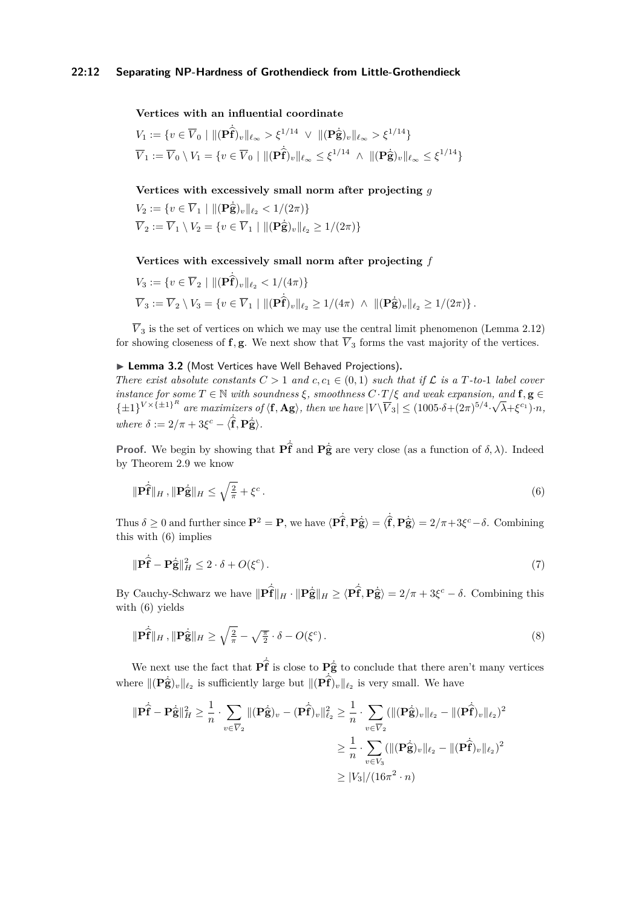#### **Vertices with an influential coordinate**

$$
V_1 := \{ v \in \overline{V}_0 \mid ||(\mathbf{P}\hat{\mathbf{f}})_v||_{\ell_{\infty}} > \xi^{1/14} \lor ||(\mathbf{P}\hat{\mathbf{g}})_v||_{\ell_{\infty}} > \xi^{1/14} \}
$$
  

$$
\overline{V}_1 := \overline{V}_0 \setminus V_1 = \{ v \in \overline{V}_0 \mid ||(\mathbf{P}\hat{\mathbf{f}})_v||_{\ell_{\infty}} \leq \xi^{1/14} \land ||(\mathbf{P}\hat{\mathbf{g}})_v||_{\ell_{\infty}} \leq \xi^{1/14} \}
$$

**Vertices with excessively small norm after projecting** *g*

$$
V_2 := \{ v \in \overline{V}_1 \mid ||(\mathbf{P}\hat{\mathbf{g}})_v||_{\ell_2} < 1/(2\pi) \}
$$
\n
$$
\overline{V}_2 := \overline{V}_1 \setminus V_2 = \{ v \in \overline{V}_1 \mid ||(\mathbf{P}\hat{\mathbf{g}})_v||_{\ell_2} \ge 1/(2\pi) \}
$$

#### **Vertices with excessively small norm after projecting** *f*

$$
V_3 := \{ v \in \overline{V}_2 \mid ||(\mathbf{P}\hat{\mathbf{f}})_v||_{\ell_2} < 1/(4\pi) \}
$$
\n
$$
\overline{V}_3 := \overline{V}_2 \setminus V_3 = \{ v \in \overline{V}_1 \mid ||(\mathbf{P}\hat{\mathbf{f}})_v||_{\ell_2} \ge 1/(4\pi) \; \wedge \; ||(\mathbf{P}\hat{\mathbf{g}})_v||_{\ell_2} \ge 1/(2\pi) \} \, .
$$

 $\overline{V}_3$  is the set of vertices on which we may use the central limit phenomenon (Lemma [2.12\)](#page-8-1) for showing closeness of **f***,* **g**. We next show that  $\overline{V}_3$  forms the vast majority of the vertices.

# <span id="page-11-0"></span>▶ **Lemma 3.2** (Most Vertices have Well Behaved Projections)**.**

*There exist absolute constants*  $C > 1$  *and*  $c, c_1 \in (0, 1)$  *such that if*  $\mathcal L$  *is a*  $T$ *-to-*1 *label cover instance for some*  $T \in \mathbb{N}$  *with soundness*  $\xi$ *, smoothness*  $C \cdot T / \xi$  *and weak expansion, and*  $f, g \in$  $\{\pm 1\}^{V \times {\{\pm 1\}}^R}$  are maximizers of  $\langle f, Ag \rangle$ , then we have  $|V \backslash \overline{V}_3| \leq (1005 \cdot \delta + (2\pi)^{5/4} \cdot \overline{V}_3)$ √ *λ*+*ξ <sup>c</sup>*<sup>1</sup> )·*n, where*  $\delta := 2/\pi + 3\xi^c - \langle \hat{\mathbf{f}}, \mathbf{P}\hat{\mathbf{g}} \rangle$ *.* 

**Proof.** We begin by showing that  $\mathbf{P}\hat{\mathbf{f}}$  and  $\mathbf{P}\hat{\mathbf{g}}$  are very close (as a function of  $\delta$ ,  $\lambda$ ). Indeed by Theorem [2.9](#page-7-1) we know

<span id="page-11-1"></span>
$$
\|\mathbf{P}\hat{\mathbf{f}}\|_{H}, \|\mathbf{P}\hat{\mathbf{g}}\|_{H} \le \sqrt{\frac{2}{\pi}} + \xi^{c}.
$$
\n(6)

Thus  $\delta \geq 0$  and further since  $\mathbf{P}^2 = \mathbf{P}$ , we have  $\langle \mathbf{P} \hat{\mathbf{f}}, \mathbf{P} \hat{\mathbf{g}} \rangle = \langle \hat{\mathbf{f}}, \mathbf{P} \hat{\mathbf{g}} \rangle = 2/\pi + 3\xi^c - \delta$ . Combining this with  $(\mathcal{C})$  implies this with [\(6\)](#page-11-1) implies

<span id="page-11-2"></span>
$$
\|\mathbf{P}\dot{\hat{\mathbf{f}}}-\mathbf{P}\dot{\hat{\mathbf{g}}}\|_{H}^{2} \leq 2 \cdot \delta + O(\xi^{c}).
$$
\n(7)

By Cauchy-Schwarz we have  $\|\mathbf{P}\hat{\mathbf{f}}\|_{H} \cdot \|\mathbf{P}\hat{\mathbf{g}}\|_{H} \ge \langle \mathbf{P}\hat{\mathbf{f}}, \mathbf{P}\hat{\mathbf{g}} \rangle = 2/\pi + 3\xi^{c} - \delta$ . Combining this  $\min(\mathcal{E})$  rights with [\(6\)](#page-11-1) yields

<span id="page-11-3"></span>
$$
\|\mathbf{P}\dot{\hat{\mathbf{f}}}\|_{H}, \|\mathbf{P}\dot{\hat{\mathbf{g}}}\|_{H} \ge \sqrt{\frac{2}{\pi}} - \sqrt{\frac{\pi}{2}} \cdot \delta - O(\xi^{c}).\tag{8}
$$

We next use the fact that  $\mathbf{P}\hat{\mathbf{f}}$  is close to  $\mathbf{P}\hat{\mathbf{g}}$  to conclude that there aren't many vertices where  $\|(\mathbf{P}\hat{\mathbf{g}})_{v}\|_{\ell_2}$  is sufficiently large but  $\|(\mathbf{P}\hat{\mathbf{f}})_{v}\|_{\ell_2}$  is very small. We have

$$
\begin{aligned}\n\|\mathbf{P}\hat{\mathbf{f}} - \mathbf{P}\hat{\mathbf{g}}\|_{H}^{2} &\geq \frac{1}{n} \cdot \sum_{v \in \overline{V}_{2}} \|(\mathbf{P}\hat{\mathbf{g}})_{v} - (\mathbf{P}\hat{\mathbf{f}})_{v}\|_{\ell_{2}}^{2} \geq \frac{1}{n} \cdot \sum_{v \in \overline{V}_{2}} (\|(\mathbf{P}\hat{\mathbf{g}})_{v}\|_{\ell_{2}} - \|(\mathbf{P}\hat{\mathbf{f}})_{v}\|_{\ell_{2}})^{2} \\
&\geq \frac{1}{n} \cdot \sum_{v \in V_{3}} (\|(\mathbf{P}\hat{\mathbf{g}})_{v}\|_{\ell_{2}} - \|(\mathbf{P}\hat{\mathbf{f}})_{v}\|_{\ell_{2}})^{2} \\
&\geq |V_{3}|/(16\pi^{2} \cdot n)\n\end{aligned}
$$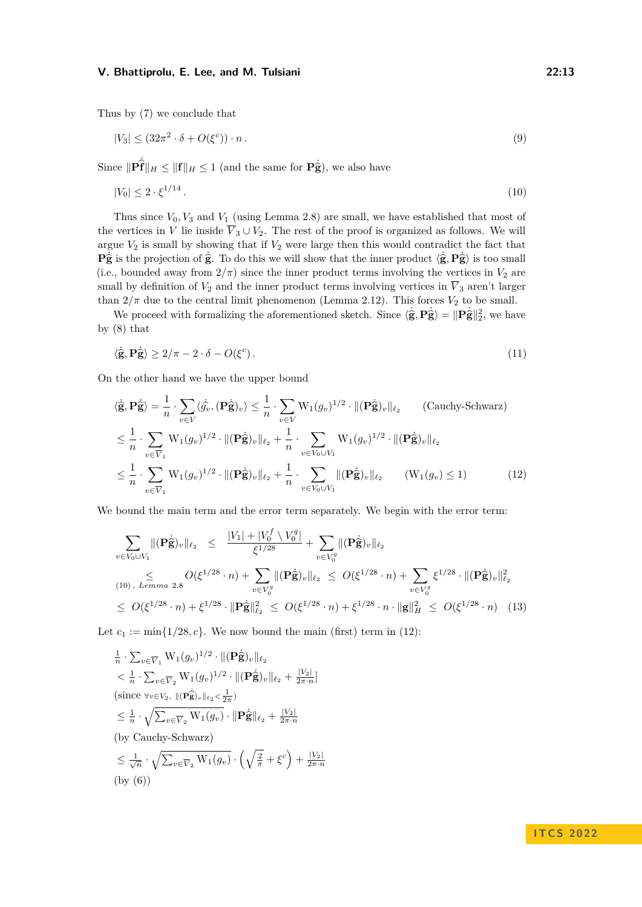Thus by [\(7\)](#page-11-2) we conclude that

<span id="page-12-2"></span>
$$
|V_3| \le (32\pi^2 \cdot \delta + O(\xi^c)) \cdot n. \tag{9}
$$

Since  $\|\mathbf{P}\hat{\mathbf{f}}\|_H \leq \|\mathbf{f}\|_H \leq 1$  (and the same for  $\mathbf{P}\hat{\mathbf{g}}$ ), we also have

<span id="page-12-0"></span>
$$
|V_0| \le 2 \cdot \xi^{1/14} \,. \tag{10}
$$

Thus since *V*0*, V*<sup>3</sup> and *V*<sup>1</sup> (using Lemma [2.8\)](#page-7-2) are small, we have established that most of the vertices in *V* lie inside  $\overline{V}_3 \cup V_2$ . The rest of the proof is organized as follows. We will argue  $V_2$  is small by showing that if  $V_2$  were large then this would contradict the fact that  $\mathbf{P}_{\mathbf{S}}^{\mathbf{i}}$  is the projection of  $\hat{\mathbf{g}}$ . To do this we will show that the inner product  $\langle \hat{\mathbf{g}}, \mathbf{P}_{\mathbf{S}}^{\mathbf{j}} \rangle$  is too small<br>(i.e., bounded grow from  $2/\pi$ ) since the inner product terms involving th (i.e., bounded away from  $2/\pi$ ) since the inner product terms involving the vertices in  $V_2$  are small by definition of  $V_2$  and the inner product terms involving vertices in  $\overline{V}_3$  aren't larger than  $2/\pi$  due to the central limit phenomenon (Lemma [2.12\)](#page-8-1). This forces  $V_2$  to be small.

We proceed with formalizing the aforementioned sketch. Since  $\langle \hat{\mathbf{g}}, \mathbf{P} \hat{\mathbf{g}} \rangle = ||\mathbf{P} \hat{\mathbf{g}}||_2^2$ , we have by [\(8\)](#page-11-3) that

<span id="page-12-3"></span>
$$
\langle \hat{\mathbf{g}}, \mathbf{P}\hat{\mathbf{g}} \rangle \ge 2/\pi - 2 \cdot \delta - O(\xi^c). \tag{11}
$$

On the other hand we have the upper bound

$$
\langle \hat{\mathbf{g}}, \mathbf{P} \hat{\mathbf{g}} \rangle = \frac{1}{n} \cdot \sum_{v \in V} \langle \hat{g}_v, (\mathbf{P} \hat{\mathbf{g}})_v \rangle \leq \frac{1}{n} \cdot \sum_{v \in V} W_1(g_v)^{1/2} \cdot \| (\mathbf{P} \hat{\mathbf{g}})_v \|_{\ell_2}
$$
 (Cauchy-Schwarz)  
\n
$$
\leq \frac{1}{n} \cdot \sum_{v \in \overline{V}_1} W_1(g_v)^{1/2} \cdot \| (\mathbf{P} \hat{\mathbf{g}})_v \|_{\ell_2} + \frac{1}{n} \cdot \sum_{v \in V_0 \cup V_1} W_1(g_v)^{1/2} \cdot \| (\mathbf{P} \hat{\mathbf{g}})_v \|_{\ell_2}
$$
  
\n
$$
\leq \frac{1}{n} \cdot \sum_{v \in \overline{V}_1} W_1(g_v)^{1/2} \cdot \| (\mathbf{P} \hat{\mathbf{g}})_v \|_{\ell_2} + \frac{1}{n} \cdot \sum_{v \in V_0 \cup V_1} \| (\mathbf{P} \hat{\mathbf{g}})_v \|_{\ell_2}
$$
 (W<sub>1</sub>(g<sub>v</sub>) \le 1) (12)

We bound the main term and the error term separately. We begin with the error term:

<span id="page-12-4"></span><span id="page-12-1"></span>
$$
\sum_{v \in V_0 \cup V_1} \| (\mathbf{P} \dot{\hat{\mathbf{g}}})_v \|_{\ell_2} \leq \frac{|V_1| + |V_0^f \setminus V_0^g|}{\xi^{1/28}} + \sum_{v \in V_0^g} \| (\mathbf{P} \dot{\hat{\mathbf{g}}})_v \|_{\ell_2}
$$
\n
$$
\leq O(\xi^{1/28} \cdot n) + \sum_{v \in V_0^g} \| (\mathbf{P} \dot{\hat{\mathbf{g}}})_v \|_{\ell_2} \leq O(\xi^{1/28} \cdot n) + \sum_{v \in V_0^g} \xi^{1/28} \cdot \| (\mathbf{P} \dot{\hat{\mathbf{g}}})_v \|_{\ell_2}^2
$$
\n
$$
\leq O(\xi^{1/28} \cdot n) + \xi^{1/28} \cdot \| \mathbf{P} \dot{\hat{\mathbf{g}}} \|_{\ell_2}^2 \leq O(\xi^{1/28} \cdot n) + \xi^{1/28} \cdot n \cdot \| \mathbf{g} \|_{H}^2 \leq O(\xi^{1/28} \cdot n) \quad (13)
$$

Let  $c_1 := \min\{1/28, c\}$ . We now bound the main (first) term in [\(12\)](#page-12-1):

$$
\frac{1}{n} \cdot \sum_{v \in \overline{V}_1} W_1(g_v)^{1/2} \cdot ||(\mathbf{P}\hat{\mathbf{g}})_{v}||_{\ell_2} \n< \frac{1}{n} \cdot \sum_{v \in \overline{V}_2} W_1(g_v)^{1/2} \cdot ||(\mathbf{P}\hat{\mathbf{g}})_{v}||_{\ell_2} + \frac{|V_2|}{2\pi \cdot n}] \n(since \forall v \in V_2, ||(\mathbf{P}\hat{\mathbf{g}})_{v}||_{\ell_2} < \frac{1}{2\pi}) \n< \frac{1}{n} \cdot \sqrt{\sum_{v \in \overline{V}_2} W_1(g_v) \cdot ||\mathbf{P}\hat{\mathbf{g}}||_{\ell_2} + \frac{|V_2|}{2\pi \cdot n}} \n(by Cauchy-Schwarz) \n< \frac{1}{\sqrt{n}} \cdot \sqrt{\sum_{v \in \overline{V}_2} W_1(g_v) \cdot \left(\sqrt{\frac{2}{\pi}} + \xi^c\right) + \frac{|V_2|}{2\pi \cdot n}} \n(by (6))
$$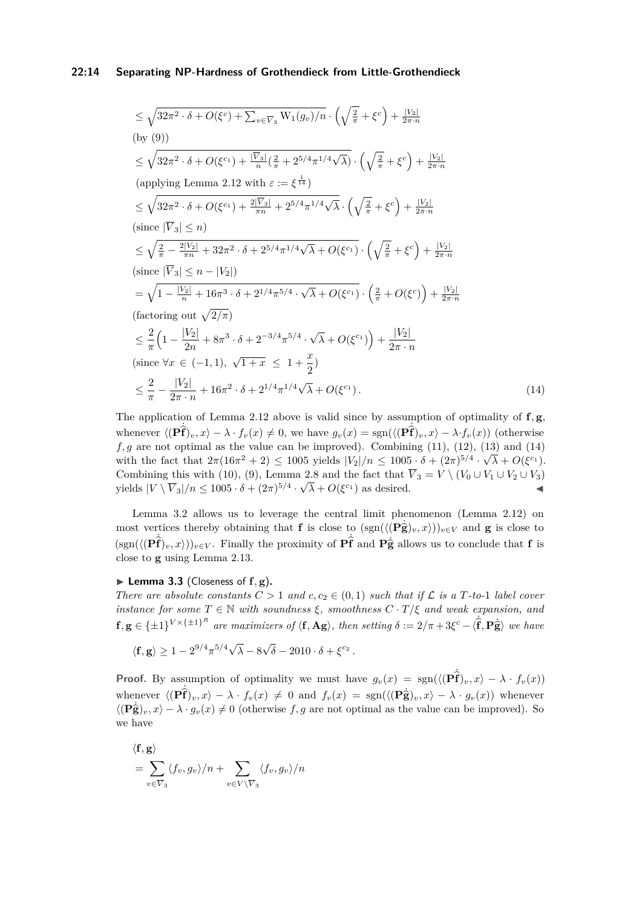#### **22:14 Separating NP-Hardness of Grothendieck from Little-Grothendieck**

$$
\leq \sqrt{32\pi^2 \cdot \delta + O(\xi^c) + \sum_{v \in \overline{V}_3} \text{W}_1(g_v)/n} \cdot \left(\sqrt{\frac{2}{\pi}} + \xi^c\right) + \frac{|V_2|}{2\pi \cdot n}
$$
\n(by (9))  
\n
$$
\leq \sqrt{32\pi^2 \cdot \delta + O(\xi^{c_1}) + \frac{|\overline{V}_3|}{n}(\frac{2}{\pi} + 2^{5/4}\pi^{1/4}\sqrt{\lambda})} \cdot \left(\sqrt{\frac{2}{\pi}} + \xi^c\right) + \frac{|V_2|}{2\pi \cdot n}
$$
\n(aplying Lemma 2.12 with  $\varepsilon := \xi^{\frac{1}{14}}\right)$   
\n
$$
\leq \sqrt{32\pi^2 \cdot \delta + O(\xi^{c_1}) + \frac{2|\overline{V}_3|}{\pi n} + 2^{5/4}\pi^{1/4}\sqrt{\lambda} \cdot \left(\sqrt{\frac{2}{\pi}} + \xi^c\right) + \frac{|V_2|}{2\pi \cdot n}
$$
\n(since  $|\overline{V}_3| \leq n$ )  
\n
$$
\leq \sqrt{\frac{2}{\pi} - \frac{2|V_2|}{\pi n} + 32\pi^2 \cdot \delta + 2^{5/4}\pi^{1/4}\sqrt{\lambda} + O(\xi^{c_1}) \cdot \left(\sqrt{\frac{2}{\pi}} + \xi^c\right) + \frac{|V_2|}{2\pi \cdot n}
$$
\n(since  $|\overline{V}_3| \leq n - |V_2|$ )  
\n
$$
= \sqrt{1 - \frac{|V_2|}{n} + 16\pi^3 \cdot \delta + 2^{1/4}\pi^{5/4} \cdot \sqrt{\lambda} + O(\xi^{c_1}) \cdot \left(\frac{2}{\pi} + O(\xi^c)\right) + \frac{|V_2|}{2\pi \cdot n}
$$
\n(factoring out  $\sqrt{2/\pi}$ )  
\n
$$
\leq \frac{2}{\pi} \left(1 - \frac{|V_2|}{2n} + 8\pi^3 \cdot \delta + 2^{-3/4}\pi^{5/4} \cdot \sqrt{\lambda} + O(\xi^{c_1})\right) + \frac{|V_2|}{2\pi \cdot n}
$$
\n(since  $\forall x \in (-1, 1), \sqrt{1 + x} \$ 

<span id="page-13-0"></span>The application of Lemma [2.12](#page-8-1) above is valid since by assumption of optimality of **f***,* **g**, whenever  $\langle (\hat{\mathbf{P}}\hat{\mathbf{f}})_v, x \rangle - \lambda \cdot f_v(x) \neq 0$ , we have  $g_v(x) = \text{sgn}(\langle (\hat{\mathbf{P}}\hat{\mathbf{f}})_v, x \rangle - \lambda \cdot f_v(x))$  (otherwise  $f, g$  are not optimal as the value can be improved). Combining [\(11\)](#page-12-3), [\(12\)](#page-12-1), [\(13\)](#page-12-4) and [\(14\)](#page-13-0) with the fact that  $2\pi(16\pi^2 + 2) \leq 1005$  yields  $|V_2|/n \leq 1005 \cdot \delta + (2\pi)^{5/4} \cdot \sqrt{\lambda} + O(\xi^{c_1})$ . Combining this with [\(10\)](#page-12-0), [\(9\)](#page-12-2), Lemma [2.8](#page-7-2) and the fact that  $V_3 = V \setminus (V_0 \cup V_1 \cup V_2 \cup V_3)$ yields  $|V \setminus \overline{V}_3|/n \le 1005 \cdot \delta + (2\pi)^{5/4} \cdot \sqrt{\lambda} + O(\xi^{c_1})$  as desired.

Lemma [3.2](#page-11-0) allows us to leverage the central limit phenomenon (Lemma [2.12\)](#page-8-1) on most vertices thereby obtaining that **f** is close to  $(\text{sgn}(\langle (\mathbf{P}\hat{\mathbf{g}})_v, x \rangle))_{v \in V}$  and **g** is close to  $(\text{sgn}(\langle (\mathbf{P}\hat{\mathbf{f}})_{v}, x \rangle))_{v \in V}$ . Finally the proximity of  $\mathbf{P}\hat{\mathbf{f}}$  and  $\mathbf{P}\hat{\mathbf{g}}$  allows us to conclude that **f** is close to **g** using Lemma [2.13.](#page-9-0)

#### <span id="page-13-1"></span> $\blacktriangleright$  **Lemma 3.3** (Closeness of  $f$ ,  $g$ ).

*There are absolute constants*  $C > 1$  *and*  $c, c_2 \in (0, 1)$  *such that if*  $\mathcal{L}$  *is a*  $T$ *-to-*1 *label cover instance for some*  $T \in \mathbb{N}$  *with soundness*  $\xi$ *, smoothness*  $C \cdot T/\xi$  *and weak expansion, and*  $f, g \in {\pm 1}^{V \times {\{\pm 1\}}^R}$  are maximizers of  $\langle f, Ag \rangle$ , then setting  $\delta := 2/\pi + 3\xi^c - \langle \hat{f}, P\hat{g} \rangle$  we have

 $\langle f, g \rangle \ge 1 - 2^{9/4} \pi^{5/4} \sqrt{ }$ *λ* − 8 √  $\overline{\delta}$  – 2010 ·  $\delta + \xi^{c_2}$  .

**Proof.** By assumption of optimality we must have  $g_v(x) = \text{sgn}(\langle (\mathbf{P}\hat{\mathbf{f}})_v, x \rangle - \lambda \cdot f_v(x))$ whenever  $\langle (\mathbf{P} \hat{\mathbf{f}})_{v}, x \rangle - \lambda \cdot f_{v}(x) \neq 0$  and  $f_{v}(x) = \text{sgn}(\langle (\mathbf{P} \hat{\mathbf{g}})_{v}, x \rangle - \lambda \cdot g_{v}(x))$  whenever  $\langle (\mathbf{P}\hat{\mathbf{g}})_v, x \rangle - \lambda \cdot g_v(x) \neq 0$  (otherwise f, g are not optimal as the value can be improved). So we have

$$
\langle \mathbf{f}, \mathbf{g} \rangle = \sum_{v \in \overline{V}_3} \langle f_v, g_v \rangle / n + \sum_{v \in V \setminus \overline{V}_3} \langle f_v, g_v \rangle / n
$$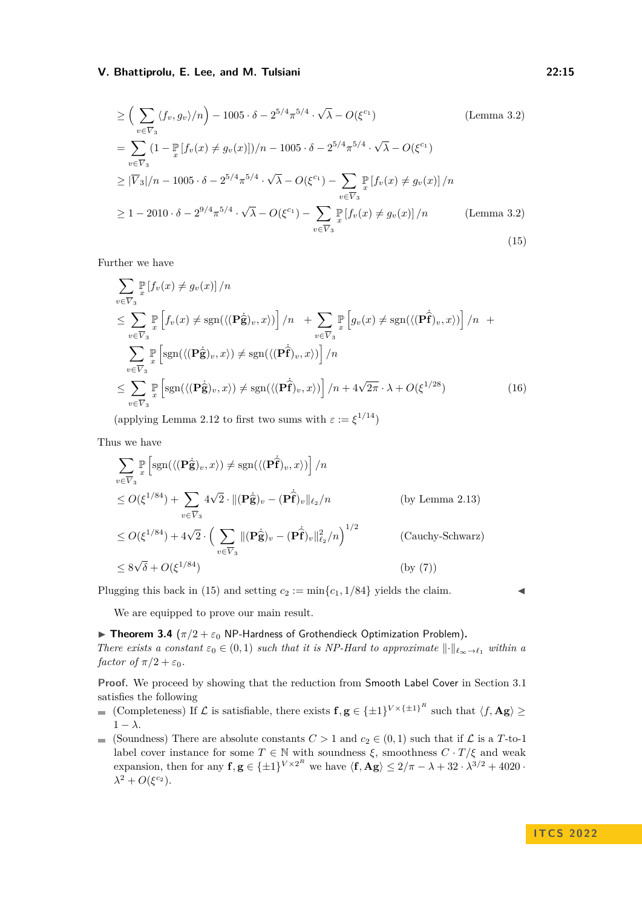$$
\geq \left( \sum_{v \in \overline{V}_3} \langle f_v, g_v \rangle / n \right) - 1005 \cdot \delta - 2^{5/4} \pi^{5/4} \cdot \sqrt{\lambda} - O(\xi^{c_1}) \qquad \text{(Lemma 3.2)}
$$
\n
$$
= \sum_{v \in \overline{V}_3} (1 - \mathbb{P} [f_v(x) \neq g_v(x)])/n - 1005 \cdot \delta - 2^{5/4} \pi^{5/4} \cdot \sqrt{\lambda} - O(\xi^{c_1})
$$
\n
$$
\geq |\overline{V}_3|/n - 1005 \cdot \delta - 2^{5/4} \pi^{5/4} \cdot \sqrt{\lambda} - O(\xi^{c_1}) - \sum_{v \in \overline{V}_3} \mathbb{P} [f_v(x) \neq g_v(x)]/n
$$
\n
$$
\geq 1 - 2010 \cdot \delta - 2^{9/4} \pi^{5/4} \cdot \sqrt{\lambda} - O(\xi^{c_1}) - \sum_{v \in \overline{V}_3} \mathbb{P} [f_v(x) \neq g_v(x)]/n \qquad \text{(Lemma 3.2)}
$$
\n(15)

Further we have

<span id="page-14-0"></span>
$$
\sum_{v \in \overline{V}_3} \mathbb{P}\left[f_v(x) \neq g_v(x)\right] / n
$$
\n
$$
\leq \sum_{v \in \overline{V}_3} \mathbb{P}\left[f_v(x) \neq \text{sgn}(\langle (\mathbf{P}\hat{\mathbf{g}})_v, x \rangle) \right] / n + \sum_{v \in \overline{V}_3} \mathbb{P}\left[g_v(x) \neq \text{sgn}(\langle (\mathbf{P}\hat{\mathbf{f}})_v, x \rangle) \right] / n +
$$
\n
$$
\sum_{v \in \overline{V}_3} \mathbb{P}\left[\text{sgn}(\langle (\mathbf{P}\hat{\mathbf{g}})_v, x \rangle) \neq \text{sgn}(\langle (\mathbf{P}\hat{\mathbf{f}})_v, x \rangle) \right] / n
$$
\n
$$
\leq \sum_{v \in \overline{V}_3} \mathbb{P}\left[\text{sgn}(\langle (\mathbf{P}\hat{\mathbf{g}})_v, x \rangle) \neq \text{sgn}(\langle (\mathbf{P}\hat{\mathbf{f}})_v, x \rangle) \right] / n + 4\sqrt{2\pi} \cdot \lambda + O(\xi^{1/28}) \tag{16}
$$

(applying Lemma [2.12](#page-8-1) to first two sums with  $\varepsilon := \xi^{1/14}$ )

Thus we have

$$
\sum_{v \in \overline{V}_3} \mathbb{P} \left[ \text{sgn}(\langle (\mathbf{P}\hat{\mathbf{g}})_v, x \rangle) \neq \text{sgn}(\langle (\mathbf{P}\hat{\mathbf{f}})_v, x \rangle) \right] / n
$$
\n
$$
\leq O(\xi^{1/84}) + \sum_{v \in \overline{V}_3} 4\sqrt{2} \cdot \| (\mathbf{P}\hat{\mathbf{g}})_v - (\mathbf{P}\hat{\mathbf{f}})_v \|_{\ell_2} / n \qquad \text{(by Lemma 2.13)}
$$
\n
$$
\leq O(\xi^{1/84}) + 4\sqrt{2} \cdot \left( \sum_{v \in \overline{V}_3} \| (\mathbf{P}\hat{\mathbf{g}})_v - (\mathbf{P}\hat{\mathbf{f}})_v \|_{\ell_2}^2 / n \right)^{1/2} \qquad \text{(Cauchy-Schwarz)}
$$
\n
$$
\leq 8\sqrt{\delta} + O(\xi^{1/84}) \qquad \text{(by (7))}
$$

Plugging this back in [\(15\)](#page-14-0) and setting  $c_2 := \min\{c_1, 1/84\}$  yields the claim.

We are equipped to prove our main result.

 $\blacktriangleright$  **Theorem 3.4** ( $\pi/2 + \varepsilon_0$  NP-Hardness of Grothendieck Optimization Problem).

*There exists a constant*  $\varepsilon_0 \in (0,1)$  *such that it is NP-Hard to approximate*  $\|\cdot\|_{\ell_\infty \to \ell_1}$  *within a factor of*  $\pi/2 + \varepsilon_0$ *.* 

**Proof.** We proceed by showing that the reduction from Smooth Label Cover in Section [3.1](#page-9-1) satisfies the following

- (Completeness) If  $\mathcal{L}$  is satisfiable, there exists  $\mathbf{f}, \mathbf{g} \in {\pm 1}^{V \times {\pm 1}^R}$  such that  $\langle f, \mathbf{Ag} \rangle \geq$  $1 - \lambda$ .
- (Soundness) There are absolute constants  $C > 1$  and  $c_2 \in (0,1)$  such that if  $\mathcal L$  is a *T*-to-1 label cover instance for some  $T \in \mathbb{N}$  with soundness  $\xi$ , smoothness  $C \cdot T/\xi$  and weak expansion, then for any  $f, g \in {\pm 1}^{V \times 2^R}$  we have  $\langle f, Ag \rangle \leq 2/\pi - \lambda + 32 \cdot \lambda^{3/2} + 4020$ .  $\lambda^2 + O(\xi^{c_2})$ .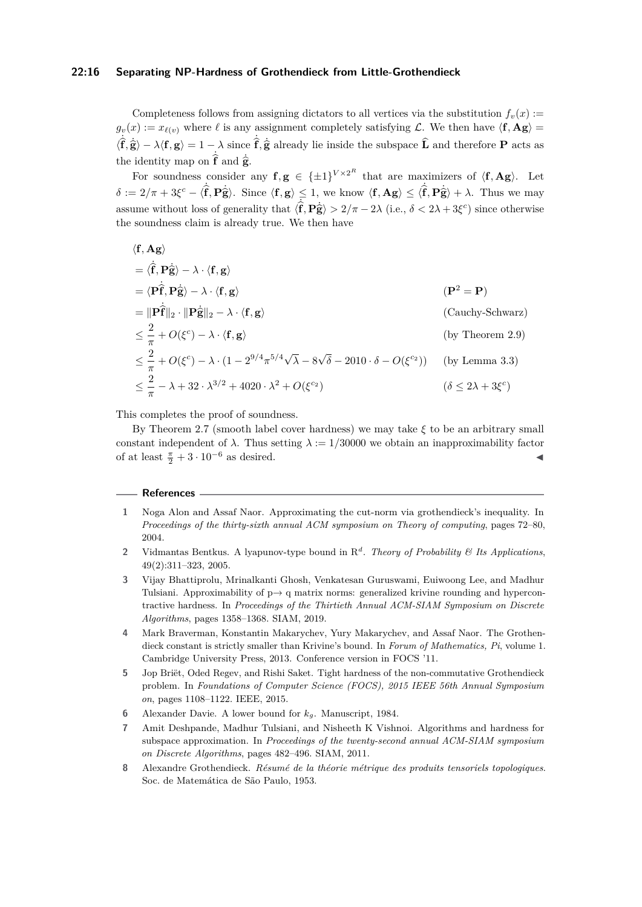#### **22:16 Separating NP-Hardness of Grothendieck from Little-Grothendieck**

Completeness follows from assigning dictators to all vertices via the substitution  $f_v(x)$  :=  $g_v(x) := x_{\ell(v)}$  where  $\ell$  is any assignment completely satisfying  $\mathcal{L}$ . We then have  $\langle \mathbf{f}, \mathbf{Ag} \rangle =$  $\langle \hat{\mathbf{f}}, \hat{\mathbf{g}} \rangle - \lambda \langle \mathbf{f}, \mathbf{g} \rangle = 1 - \lambda$  since  $\hat{\mathbf{f}}, \hat{\mathbf{g}}$  already lie inside the subspace  $\hat{\mathbf{L}}$  and therefore **P** acts as the identity map on  $\hat{\mathbf{f}}$  and  $\dot{\hat{\mathbf{g}}}_{\epsilon}$ .

For soundness consider any  $f, g \in {\pm 1}^{V \times 2^R}$  that are maximizers of  $\langle f, Ag \rangle$ . Let  $\delta := 2/\pi + 3\xi^c - \langle \hat{\mathbf{f}}, \mathbf{P}\hat{\mathbf{g}} \rangle$ . Since  $\langle \mathbf{f}, \mathbf{g} \rangle \leq 1$ , we know  $\langle \mathbf{f}, \mathbf{A}\mathbf{g} \rangle \leq \langle \hat{\mathbf{f}}, \mathbf{P}\hat{\mathbf{g}} \rangle + \lambda$ . Thus we may assume without loss of generality that  $\langle \hat{f}, \hat{P} \hat{g} \rangle > 2/\pi - 2\lambda$  (i.e.,  $\delta < 2\lambda + 3\xi^c$ ) since otherwise the soundness claim is already true. We then have

$$
\langle \mathbf{f}, \mathbf{Ag} \rangle
$$
  
\n
$$
= \langle \hat{\mathbf{f}}, \mathbf{P}\hat{\mathbf{g}} \rangle - \lambda \cdot \langle \mathbf{f}, \mathbf{g} \rangle
$$
  
\n
$$
= \langle \mathbf{P}\hat{\mathbf{f}}, \mathbf{P}\hat{\mathbf{g}} \rangle - \lambda \cdot \langle \mathbf{f}, \mathbf{g} \rangle
$$
  
\n
$$
= \|\mathbf{P}\hat{\mathbf{f}}\|_{2} \cdot \|\mathbf{P}\hat{\mathbf{g}}\|_{2} - \lambda \cdot \langle \mathbf{f}, \mathbf{g} \rangle
$$
  
\n
$$
\leq \frac{2}{\pi} + O(\xi^{c}) - \lambda \cdot \langle \mathbf{f}, \mathbf{g} \rangle
$$
  
\n
$$
\leq \frac{2}{\pi} + O(\xi^{c}) - \lambda \cdot (1 - 2^{9/4}\pi^{5/4}\sqrt{\lambda} - 8\sqrt{\delta} - 2010 \cdot \delta - O(\xi^{c_2}))
$$
 (by Lemma 3.3)  
\n
$$
\leq \frac{2}{\pi} - \lambda + 32 \cdot \lambda^{3/2} + 4020 \cdot \lambda^{2} + O(\xi^{c_2})
$$
  
\n
$$
(\delta \leq 2\lambda + 3\xi^{c})
$$

This completes the proof of soundness.

By Theorem [2.7](#page-6-0) (smooth label cover hardness) we may take *ξ* to be an arbitrary small constant independent of  $\lambda$ . Thus setting  $\lambda := 1/30000$  we obtain an inapproximability factor of at least  $\frac{\pi}{2} + 3 \cdot 10^{-6}$  as desired.

#### **References**

- <span id="page-15-4"></span>**1** Noga Alon and Assaf Naor. Approximating the cut-norm via grothendieck's inequality. In *Proceedings of the thirty-sixth annual ACM symposium on Theory of computing*, pages 72–80, 2004.
- <span id="page-15-7"></span>**2** Vidmantas Bentkus. A lyapunov-type bound in R *d* . *Theory of Probability & Its Applications*, 49(2):311–323, 2005.
- <span id="page-15-6"></span>**3** Vijay Bhattiprolu, Mrinalkanti Ghosh, Venkatesan Guruswami, Euiwoong Lee, and Madhur Tulsiani. Approximability of  $p \rightarrow q$  matrix norms: generalized krivine rounding and hypercontractive hardness. In *Proceedings of the Thirtieth Annual ACM-SIAM Symposium on Discrete Algorithms*, pages 1358–1368. SIAM, 2019.
- <span id="page-15-1"></span>**4** Mark Braverman, Konstantin Makarychev, Yury Makarychev, and Assaf Naor. The Grothendieck constant is strictly smaller than Krivine's bound. In *Forum of Mathematics, Pi*, volume 1. Cambridge University Press, 2013. Conference version in FOCS '11.
- <span id="page-15-2"></span>**5** Jop Briët, Oded Regev, and Rishi Saket. Tight hardness of the non-commutative Grothendieck problem. In *Foundations of Computer Science (FOCS), 2015 IEEE 56th Annual Symposium on*, pages 1108–1122. IEEE, 2015.
- <span id="page-15-3"></span>**6** Alexander Davie. A lower bound for *kg*. Manuscript, 1984.
- <span id="page-15-5"></span>**7** Amit Deshpande, Madhur Tulsiani, and Nisheeth K Vishnoi. Algorithms and hardness for subspace approximation. In *Proceedings of the twenty-second annual ACM-SIAM symposium on Discrete Algorithms*, pages 482–496. SIAM, 2011.
- <span id="page-15-0"></span>**8** Alexandre Grothendieck. *Résumé de la théorie métrique des produits tensoriels topologiques*. Soc. de Matemática de São Paulo, 1953.